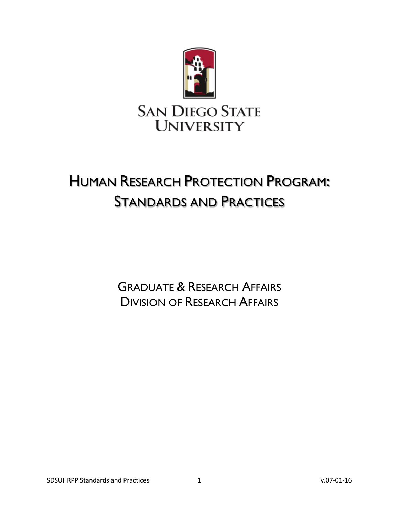

# <span id="page-0-0"></span>HUMAN RESEARCH PROTECTION PROGRAM: STANDARDS AND PRACTICES

<span id="page-0-2"></span><span id="page-0-1"></span>GRADUATE & RESEARCH AFFAIRS DIVISION OF RESEARCH AFFAIRS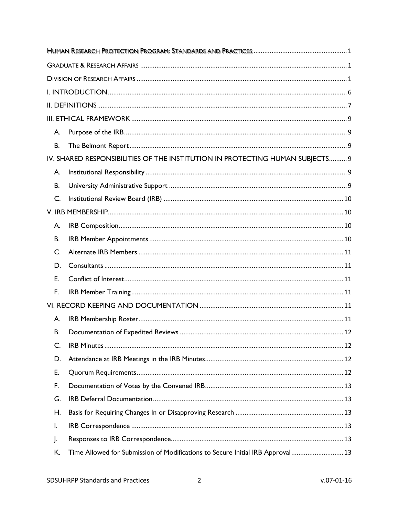| А. |                                                                                |  |  |
|----|--------------------------------------------------------------------------------|--|--|
| В. |                                                                                |  |  |
|    | IV. SHARED RESPONSIBILITIES OF THE INSTITUTION IN PROTECTING HUMAN SUBJECTS 9  |  |  |
| А. |                                                                                |  |  |
| В. |                                                                                |  |  |
| C. |                                                                                |  |  |
|    |                                                                                |  |  |
| А. |                                                                                |  |  |
| В. |                                                                                |  |  |
| C. |                                                                                |  |  |
| D. |                                                                                |  |  |
| E. |                                                                                |  |  |
| F. |                                                                                |  |  |
|    |                                                                                |  |  |
| А. |                                                                                |  |  |
| В. |                                                                                |  |  |
| C. |                                                                                |  |  |
| D. |                                                                                |  |  |
| Е. |                                                                                |  |  |
| F. |                                                                                |  |  |
| G. |                                                                                |  |  |
| Н. |                                                                                |  |  |
| I. |                                                                                |  |  |
| J. |                                                                                |  |  |
| K. | Time Allowed for Submission of Modifications to Secure Initial IRB Approval 13 |  |  |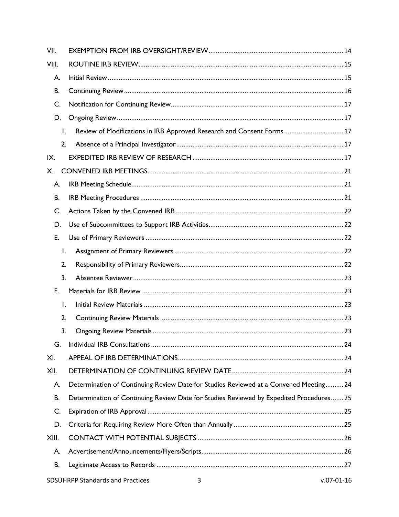| VII.           |                                                                                         |
|----------------|-----------------------------------------------------------------------------------------|
| VIII.          |                                                                                         |
| А.             |                                                                                         |
| В.             |                                                                                         |
| C.             |                                                                                         |
| D.             |                                                                                         |
| $\mathsf{I}$ . | Review of Modifications in IRB Approved Research and Consent Forms 17                   |
| 2.             |                                                                                         |
| IX.            |                                                                                         |
| Х.             |                                                                                         |
| Α.             |                                                                                         |
| В.             |                                                                                         |
| C.             |                                                                                         |
| D.             |                                                                                         |
| E.             |                                                                                         |
| Ι.             |                                                                                         |
| 2.             |                                                                                         |
| 3.             |                                                                                         |
| F.             |                                                                                         |
| $\mathsf{I}$ . |                                                                                         |
| 2.             |                                                                                         |
| 3.             |                                                                                         |
| G.             |                                                                                         |
| XI.            |                                                                                         |
| XII.           |                                                                                         |
| А.             | Determination of Continuing Review Date for Studies Reviewed at a Convened Meeting 24   |
| В.             | Determination of Continuing Review Date for Studies Reviewed by Expedited Procedures 25 |
| C.             |                                                                                         |
| D.             |                                                                                         |
| XIII.          |                                                                                         |
| А.             |                                                                                         |
| В.             |                                                                                         |
|                | <b>SDSUHRPP Standards and Practices</b><br>$v.07 - 01 - 16$<br>3                        |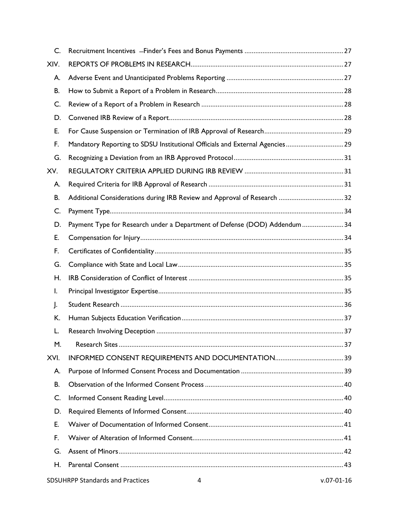| C.   |                                                                              |                  |
|------|------------------------------------------------------------------------------|------------------|
| XIV. |                                                                              |                  |
| А.   |                                                                              |                  |
| В.   |                                                                              |                  |
| C.   |                                                                              |                  |
| D.   |                                                                              |                  |
| E.   |                                                                              |                  |
| F.   | Mandatory Reporting to SDSU Institutional Officials and External Agencies 29 |                  |
| G.   |                                                                              |                  |
| XV.  |                                                                              |                  |
| А.   |                                                                              |                  |
| В.   |                                                                              |                  |
| C.   |                                                                              |                  |
| D.   | Payment Type for Research under a Department of Defense (DOD) Addendum  34   |                  |
| E.   |                                                                              |                  |
| F.   |                                                                              |                  |
| G.   |                                                                              |                  |
| Н.   |                                                                              |                  |
| I.   |                                                                              |                  |
| J.   |                                                                              |                  |
| K.   |                                                                              |                  |
| L.   |                                                                              |                  |
| М.   |                                                                              |                  |
| XVI. |                                                                              |                  |
| A.   |                                                                              |                  |
| В.   |                                                                              |                  |
| C.   |                                                                              |                  |
| D.   |                                                                              |                  |
| Е.   |                                                                              |                  |
| F.   |                                                                              |                  |
| G.   |                                                                              |                  |
| Η.   |                                                                              |                  |
|      | <b>SDSUHRPP Standards and Practices</b><br>4                                 | $v.07 - 01 - 16$ |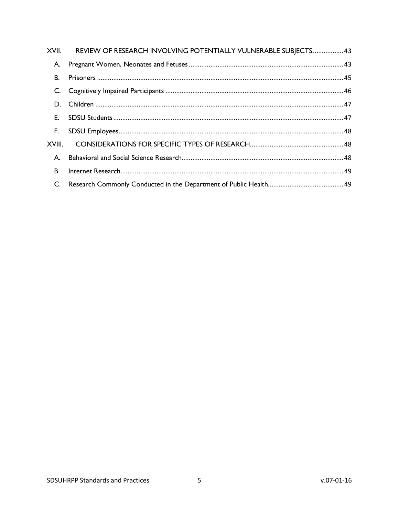|           | XVII. REVIEW OF RESEARCH INVOLVING POTENTIALLY VULNERABLE SUBJECTS 43 |  |
|-----------|-----------------------------------------------------------------------|--|
| А.        |                                                                       |  |
| В.        |                                                                       |  |
|           |                                                                       |  |
|           |                                                                       |  |
|           |                                                                       |  |
| F.        |                                                                       |  |
|           |                                                                       |  |
| A.        |                                                                       |  |
| <b>B.</b> |                                                                       |  |
|           |                                                                       |  |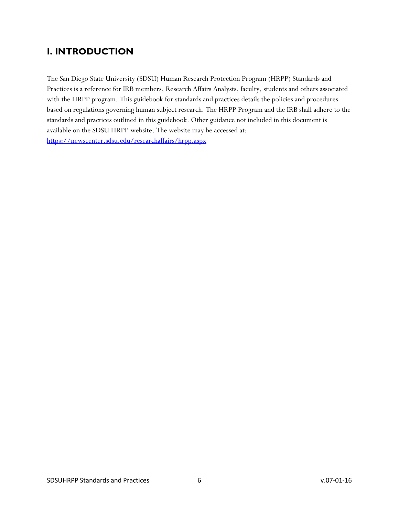# <span id="page-5-0"></span>**I. INTRODUCTION**

The San Diego State University (SDSU) Human Research Protection Program (HRPP) Standards and Practices is a reference for IRB members, Research Affairs Analysts, faculty, students and others associated with the HRPP program. This guidebook for standards and practices details the policies and procedures based on regulations governing human subject research. The HRPP Program and the IRB shall adhere to the standards and practices outlined in this guidebook. Other guidance not included in this document is available on the SDSU HRPP website. The website may be accessed at[:](https://newscenter.sdsu.edu/researchaffairs/hrpp.aspx) <https://newscenter.sdsu.edu/researchaffairs/hrpp.aspx>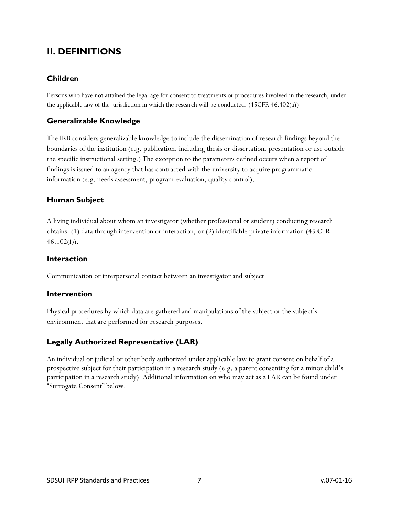# <span id="page-6-0"></span>**II. DEFINITIONS**

### **Children**

Persons who have not attained the legal age for consent to treatments or procedures involved in the research, under the applicable law of the jurisdiction in which the research will be conducted.  $(45CFR 46.402(a))$ 

### **Generalizable Knowledge**

The IRB considers generalizable knowledge to include the dissemination of research findings beyond the boundaries of the institution (e.g. publication, including thesis or dissertation, presentation or use outside the specific instructional setting.) The exception to the parameters defined occurs when a report of findings is issued to an agency that has contracted with the university to acquire programmatic information (e.g. needs assessment, program evaluation, quality control).

### **Human Subject**

A living individual about whom an investigator (whether professional or student) conducting research obtains: (1) data through intervention or interaction, or (2) identifiable private information (45 CFR  $46.102(f)$ ).

### **Interaction**

Communication or interpersonal contact between an investigator and subject

### **Intervention**

Physical procedures by which data are gathered and manipulations of the subject or the subject's environment that are performed for research purposes.

### **Legally Authorized Representative (LAR)**

An individual or judicial or other body authorized under applicable law to grant consent on behalf of a prospective subject for their participation in a research study (e.g. a parent consenting for a minor child's participation in a research study). Additional information on who may act as a LAR can be found under "Surrogate Consent" below.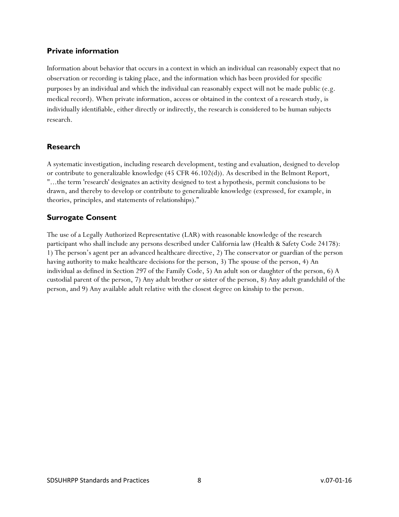### **Private information**

Information about behavior that occurs in a context in which an individual can reasonably expect that no observation or recording is taking place, and the information which has been provided for specific purposes by an individual and which the individual can reasonably expect will not be made public (e.g. medical record). When private information, access or obtained in the context of a research study, is individually identifiable, either directly or indirectly, the research is considered to be human subjects research.

### **Research**

A systematic investigation, including research development, testing and evaluation, designed to develop or contribute to generalizable knowledge (45 CFR 46.102(d)). As described in the Belmont Report, "...the term 'research' designates an activity designed to test a hypothesis, permit conclusions to be drawn, and thereby to develop or contribute to generalizable knowledge (expressed, for example, in theories, principles, and statements of relationships)."

### **Surrogate Consent**

The use of a Legally Authorized Representative (LAR) with reasonable knowledge of the research participant who shall include any persons described under California law (Health & Safety Code 24178): 1) The person's agent per an advanced healthcare directive, 2) The conservator or guardian of the person having authority to make healthcare decisions for the person, 3) The spouse of the person, 4) An individual as defined in Section 297 of the Family Code, 5) An adult son or daughter of the person, 6) A custodial parent of the person, 7) Any adult brother or sister of the person, 8) Any adult grandchild of the person, and 9) Any available adult relative with the closest degree on kinship to the person.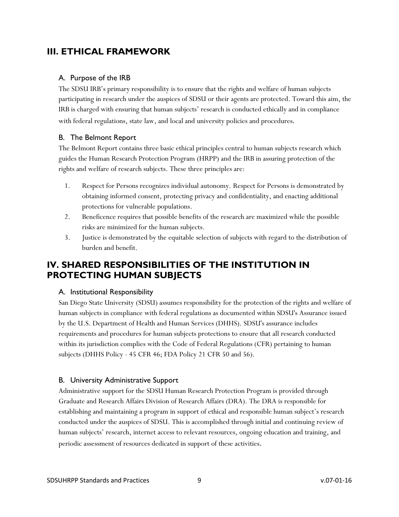# <span id="page-8-0"></span>**III. ETHICAL FRAMEWORK**

### <span id="page-8-1"></span>A. Purpose of the IRB

The SDSU IRB's primary responsibility is to ensure that the rights and welfare of human subjects participating in research under the auspices of SDSU or their agents are protected. Toward this aim, the IRB is charged with ensuring that human subjects' research is conducted ethically and in compliance with federal regulations, state law, and local and university policies and procedures.

### <span id="page-8-2"></span>B. The Belmont Report

The Belmont Report contains three basic ethical principles central to human subjects research which guides the Human Research Protection Program (HRPP) and the IRB in assuring protection of the rights and welfare of research subjects. These three principles are:

- 1. Respect for Persons recognizes individual autonomy. Respect for Persons is demonstrated by obtaining informed consent, protecting privacy and confidentiality, and enacting additional protections for vulnerable populations.
- 2. Beneficence requires that possible benefits of the research are maximized while the possible risks are minimized for the human subjects.
- 3. Justice is demonstrated by the equitable selection of subjects with regard to the distribution of burden and benefit.

# <span id="page-8-3"></span>**IV. SHARED RESPONSIBILITIES OF THE INSTITUTION IN PROTECTING HUMAN SUBJECTS**

### <span id="page-8-4"></span>A. Institutional Responsibility

San Diego State University (SDSU) assumes responsibility for the protection of the rights and welfare of human subjects in compliance with federal regulations as documented within SDSU's Assurance issued by the U.S. Department of Health and Human Services (DHHS). SDSU's assurance includes requirements and procedures for human subjects protections to ensure that all research conducted within its jurisdiction complies with the Code of Federal Regulations (CFR) pertaining to human subjects (DHHS Policy - 45 CFR 46; FDA Policy 21 CFR 50 and 56).

### <span id="page-8-5"></span>B. University Administrative Support

Administrative support for the SDSU Human Research Protection Program is provided through Graduate and Research Affairs Division of Research Affairs (DRA). The DRA is responsible for establishing and maintaining a program in support of ethical and responsible human subject's research conducted under the auspices of SDSU. This is accomplished through initial and continuing review of human subjects' research, internet access to relevant resources, ongoing education and training, and periodic assessment of resources dedicated in support of these activities.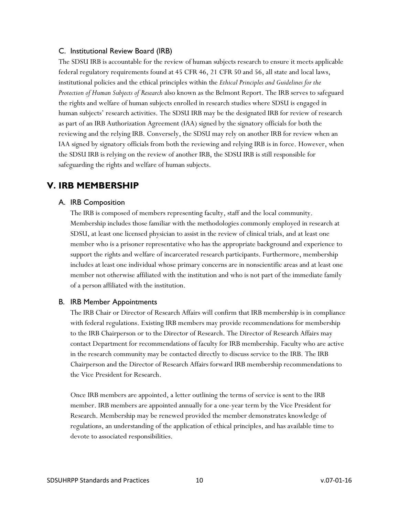### <span id="page-9-0"></span>C. Institutional Review Board (IRB)

The SDSU IRB is accountable for the review of human subjects research to ensure it meets applicable federal regulatory requirements found at 45 CFR 46, 21 CFR 50 and 56, all state and local laws, institutional policies and the ethical principles within the *Ethical Principles and Guidelines for the Protection of Human Subjects of Research* also known as the Belmont Report. The IRB serves to safeguard the rights and welfare of human subjects enrolled in research studies where SDSU is engaged in human subjects' research activities. The SDSU IRB may be the designated IRB for review of research as part of an IRB Authorization Agreement (IAA) signed by the signatory officials for both the reviewing and the relying IRB. Conversely, the SDSU may rely on another IRB for review when an IAA signed by signatory officials from both the reviewing and relying IRB is in force. However, when the SDSU IRB is relying on the review of another IRB, the SDSU IRB is still responsible for safeguarding the rights and welfare of human subjects.

# <span id="page-9-2"></span><span id="page-9-1"></span>**V. IRB MEMBERSHIP**

### A. IRB Composition

The IRB is composed of members representing faculty, staff and the local community. Membership includes those familiar with the methodologies commonly employed in research at SDSU, at least one licensed physician to assist in the review of clinical trials, and at least one member who is a prisoner representative who has the appropriate background and experience to support the rights and welfare of incarcerated research participants. Furthermore, membership includes at least one individual whose primary concerns are in nonscientific areas and at least one member not otherwise affiliated with the institution and who is not part of the immediate family of a person affiliated with the institution.

### <span id="page-9-3"></span>B. IRB Member Appointments

The IRB Chair or Director of Research Affairs will confirm that IRB membership is in compliance with federal regulations. Existing IRB members may provide recommendations for membership to the IRB Chairperson or to the Director of Research. The Director of Research Affairs may contact Department for recommendations of faculty for IRB membership. Faculty who are active in the research community may be contacted directly to discuss service to the IRB. The IRB Chairperson and the Director of Research Affairs forward IRB membership recommendations to the Vice President for Research.

Once IRB members are appointed, a letter outlining the terms of service is sent to the IRB member. IRB members are appointed annually for a one-year term by the Vice President for Research. Membership may be renewed provided the member demonstrates knowledge of regulations, an understanding of the application of ethical principles, and has available time to devote to associated responsibilities.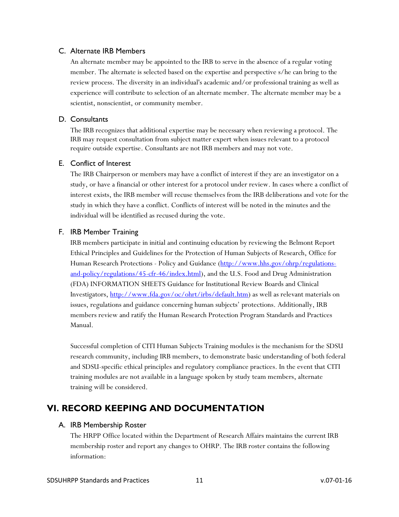#### <span id="page-10-0"></span>C. Alternate IRB Members

An alternate member may be appointed to the IRB to serve in the absence of a regular voting member. The alternate is selected based on the expertise and perspective s/he can bring to the review process. The diversity in an individual's academic and/or professional training as well as experience will contribute to selection of an alternate member. The alternate member may be a scientist, nonscientist, or community member.

#### <span id="page-10-1"></span>D. Consultants

The IRB recognizes that additional expertise may be necessary when reviewing a protocol. The IRB may request consultation from subject matter expert when issues relevant to a protocol require outside expertise. Consultants are not IRB members and may not vote.

#### <span id="page-10-2"></span>E. Conflict of Interest

The IRB Chairperson or members may have a conflict of interest if they are an investigator on a study, or have a financial or other interest for a protocol under review. In cases where a conflict of interest exists, the IRB member will recuse themselves from the IRB deliberations and vote for the study in which they have a conflict. Conflicts of interest will be noted in the minutes and the individual will be identified as recused during the vote.

#### <span id="page-10-3"></span>F. IRB Member Training

IRB members participate in initial and continuing education by reviewing the Belmont Report Ethical Principles and Guidelines for the Protection of Human Subjects of Research, Office for Human Research Protections - Policy and Guidance [\(http://www.hhs.gov/ohrp/regulations](http://www.hhs.gov/ohrp/regulations-and-policy/regulations/45-cfr-46/index.html)[and-policy/regulations/45-cfr-46/index.html\)](http://www.hhs.gov/ohrp/regulations-and-policy/regulations/45-cfr-46/index.html), and the U.S. Food and Drug Administration (FDA) INFORMATION SHEETS Guidance for Institutional Review Boards and Clinical Investigators, [http://www.fda.gov/oc/ohrt/irbs/default.htm\)](http://www.fda.gov/oc/oha/IRB/toc.html) as well as relevant materials on issues, regulations and guidance concerning human subjects' protections. Additionally, IRB members review and ratify the Human Research Protection Program Standards and Practices Manual.

Successful completion of CITI Human Subjects Training modules is the mechanism for the SDSU research community, including IRB members, to demonstrate basic understanding of both federal and SDSU-specific ethical principles and regulatory compliance practices. In the event that CITI training modules are not available in a language spoken by study team members, alternate training will be considered.

# <span id="page-10-5"></span><span id="page-10-4"></span>**VI. RECORD KEEPING AND DOCUMENTATION**

#### A. IRB Membership Roster

The HRPP Office located within the Department of Research Affairs maintains the current IRB membership roster and report any changes to OHRP. The IRB roster contains the following information: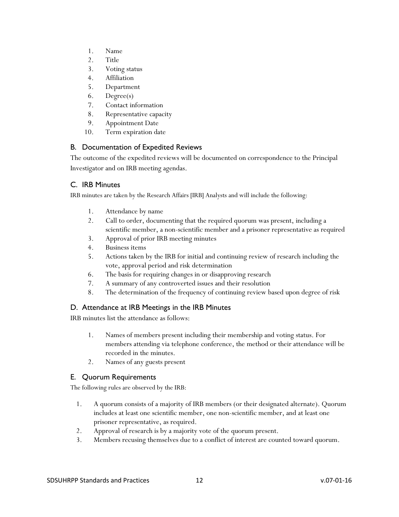- 1. Name
- 2. Title
- 3. Voting status
- 4. Affiliation
- 5. Department
- 6. Degree(s)
- 7. Contact information
- 8. Representative capacity
- 9. Appointment Date
- 10. Term expiration date

### <span id="page-11-0"></span>B. Documentation of Expedited Reviews

The outcome of the expedited reviews will be documented on correspondence to the Principal Investigator and on IRB meeting agendas.

### <span id="page-11-1"></span>C. IRB Minutes

IRB minutes are taken by the Research Affairs [IRB] Analysts and will include the following:

- 1. Attendance by name
- 2. Call to order, documenting that the required quorum was present, including a scientific member, a non-scientific member and a prisoner representative as required
- 3. Approval of prior IRB meeting minutes
- 4. Business items
- 5. Actions taken by the IRB for initial and continuing review of research including the vote, approval period and risk determination
- 6. The basis for requiring changes in or disapproving research
- 7. A summary of any controverted issues and their resolution
- 8. The determination of the frequency of continuing review based upon degree of risk

### <span id="page-11-2"></span>D. Attendance at IRB Meetings in the IRB Minutes

IRB minutes list the attendance as follows:

- 1. Names of members present including their membership and voting status. For members attending via telephone conference, the method or their attendance will be recorded in the minutes.
- 2. Names of any guests present

### <span id="page-11-3"></span>E. Quorum Requirements

The following rules are observed by the IRB:

- 1. A quorum consists of a majority of IRB members (or their designated alternate). Quorum includes at least one scientific member, one non-scientific member, and at least one prisoner representative, as required.
- 2. Approval of research is by a majority vote of the quorum present.
- 3. Members recusing themselves due to a conflict of interest are counted toward quorum.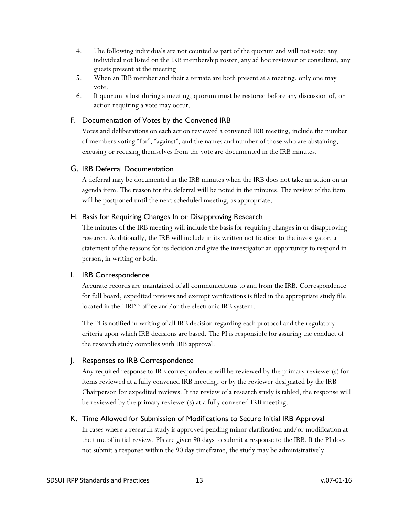- 4. The following individuals are not counted as part of the quorum and will not vote: any individual not listed on the IRB membership roster, any ad hoc reviewer or consultant, any guests present at the meeting
- 5. When an IRB member and their alternate are both present at a meeting, only one may vote.
- 6. If quorum is lost during a meeting, quorum must be restored before any discussion of, or action requiring a vote may occur.

### <span id="page-12-0"></span>F. Documentation of Votes by the Convened IRB

Votes and deliberations on each action reviewed a convened IRB meeting, include the number of members voting "for", "against", and the names and number of those who are abstaining, excusing or recusing themselves from the vote are documented in the IRB minutes.

### <span id="page-12-1"></span>G. IRB Deferral Documentation

A deferral may be documented in the IRB minutes when the IRB does not take an action on an agenda item. The reason for the deferral will be noted in the minutes. The review of the item will be postponed until the next scheduled meeting, as appropriate.

#### <span id="page-12-2"></span>H. Basis for Requiring Changes In or Disapproving Research

The minutes of the IRB meeting will include the basis for requiring changes in or disapproving research. Additionally, the IRB will include in its written notification to the investigator, a statement of the reasons for its decision and give the investigator an opportunity to respond in person, in writing or both.

#### <span id="page-12-3"></span>I. IRB Correspondence

Accurate records are maintained of all communications to and from the IRB. Correspondence for full board, expedited reviews and exempt verifications is filed in the appropriate study file located in the HRPP office and/or the electronic IRB system.

The PI is notified in writing of all IRB decision regarding each protocol and the regulatory criteria upon which IRB decisions are based. The PI is responsible for assuring the conduct of the research study complies with IRB approval.

### <span id="page-12-4"></span>J. Responses to IRB Correspondence

Any required response to IRB correspondence will be reviewed by the primary reviewer(s) for items reviewed at a fully convened IRB meeting, or by the reviewer designated by the IRB Chairperson for expedited reviews. If the review of a research study is tabled, the response will be reviewed by the primary reviewer(s) at a fully convened IRB meeting.

#### <span id="page-12-5"></span>K. Time Allowed for Submission of Modifications to Secure Initial IRB Approval

In cases where a research study is approved pending minor clarification and/or modification at the time of initial review, PIs are given 90 days to submit a response to the IRB. If the PI does not submit a response within the 90 day timeframe, the study may be administratively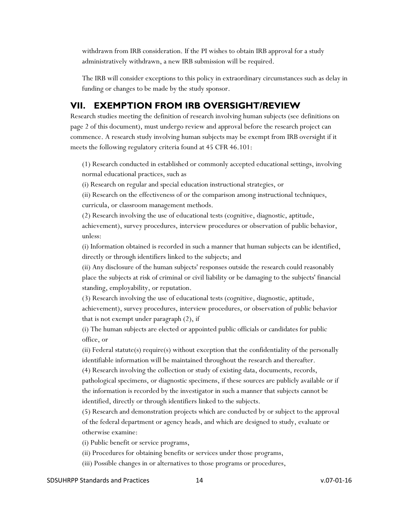withdrawn from IRB consideration. If the PI wishes to obtain IRB approval for a study administratively withdrawn, a new IRB submission will be required.

The IRB will consider exceptions to this policy in extraordinary circumstances such as delay in funding or changes to be made by the study sponsor.

## <span id="page-13-0"></span>**VII. EXEMPTION FROM IRB OVERSIGHT/REVIEW**

Research studies meeting the definition of research involving human subjects (see definitions on page 2 of this document), must undergo review and approval before the research project can commence. A research study involving human subjects may be exempt from IRB oversight if it meets the following regulatory criteria found at 45 CFR 46.101:

(1) Research conducted in established or commonly accepted educational settings, involving normal educational practices, such as

(i) Research on regular and special education instructional strategies, or

(ii) Research on the effectiveness of or the comparison among instructional techniques, curricula, or classroom management methods.

(2) Research involving the use of educational tests (cognitive, diagnostic, aptitude, achievement), survey procedures, interview procedures or observation of public behavior, unless:

(i) Information obtained is recorded in such a manner that human subjects can be identified, directly or through identifiers linked to the subjects; and

(ii) Any disclosure of the human subjects' responses outside the research could reasonably place the subjects at risk of criminal or civil liability or be damaging to the subjects' financial standing, employability, or reputation.

(3) Research involving the use of educational tests (cognitive, diagnostic, aptitude, achievement), survey procedures, interview procedures, or observation of public behavior that is not exempt under paragraph (2), if

(i) The human subjects are elected or appointed public officials or candidates for public office, or

(ii) Federal statute(s) require(s) without exception that the confidentiality of the personally identifiable information will be maintained throughout the research and thereafter.

(4) Research involving the collection or study of existing data, documents, records, pathological specimens, or diagnostic specimens, if these sources are publicly available or if the information is recorded by the investigator in such a manner that subjects cannot be identified, directly or through identifiers linked to the subjects.

(5) Research and demonstration projects which are conducted by or subject to the approval of the federal department or agency heads, and which are designed to study, evaluate or otherwise examine:

(i) Public benefit or service programs,

(ii) Procedures for obtaining benefits or services under those programs,

(iii) Possible changes in or alternatives to those programs or procedures,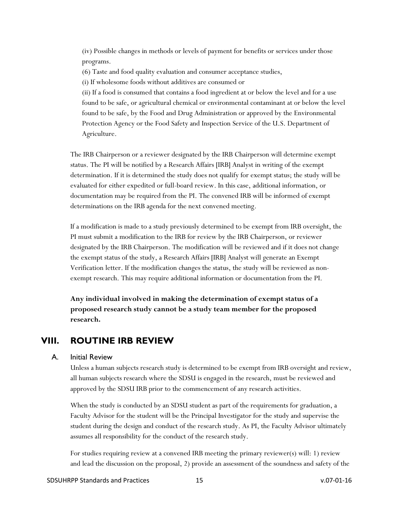(iv) Possible changes in methods or levels of payment for benefits or services under those programs.

(6) Taste and food quality evaluation and consumer acceptance studies,

(i) If wholesome foods without additives are consumed or

(ii) If a food is consumed that contains a food ingredient at or below the level and for a use found to be safe, or agricultural chemical or environmental contaminant at or below the level found to be safe, by the Food and Drug Administration or approved by the Environmental Protection Agency or the Food Safety and Inspection Service of the U.S. Department of Agriculture.

The IRB Chairperson or a reviewer designated by the IRB Chairperson will determine exempt status. The PI will be notified by a Research Affairs [IRB] Analyst in writing of the exempt determination. If it is determined the study does not qualify for exempt status; the study will be evaluated for either expedited or full-board review. In this case, additional information, or documentation may be required from the PI. The convened IRB will be informed of exempt determinations on the IRB agenda for the next convened meeting.

If a modification is made to a study previously determined to be exempt from IRB oversight, the PI must submit a modification to the IRB for review by the IRB Chairperson, or reviewer designated by the IRB Chairperson. The modification will be reviewed and if it does not change the exempt status of the study, a Research Affairs [IRB] Analyst will generate an Exempt Verification letter. If the modification changes the status, the study will be reviewed as nonexempt research. This may require additional information or documentation from the PI.

**Any individual involved in making the determination of exempt status of a proposed research study cannot be a study team member for the proposed research.**

### <span id="page-14-0"></span>**VIII. ROUTINE IRB REVIEW**

#### <span id="page-14-1"></span>A. Initial Review

Unless a human subjects research study is determined to be exempt from IRB oversight and review, all human subjects research where the SDSU is engaged in the research, must be reviewed and approved by the SDSU IRB prior to the commencement of any research activities.

When the study is conducted by an SDSU student as part of the requirements for graduation, a Faculty Advisor for the student will be the Principal Investigator for the study and supervise the student during the design and conduct of the research study. As PI, the Faculty Advisor ultimately assumes all responsibility for the conduct of the research study.

For studies requiring review at a convened IRB meeting the primary reviewer(s) will: 1) review and lead the discussion on the proposal, 2) provide an assessment of the soundness and safety of the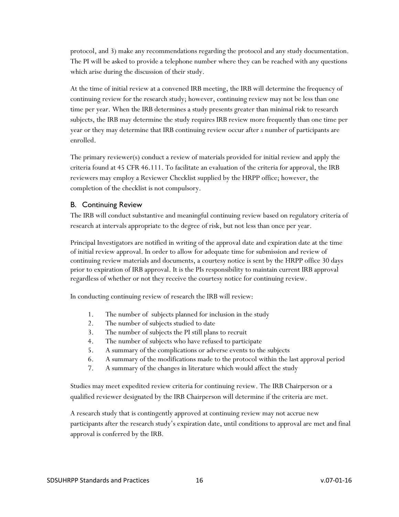protocol, and 3) make any recommendations regarding the protocol and any study documentation. The PI will be asked to provide a telephone number where they can be reached with any questions which arise during the discussion of their study.

At the time of initial review at a convened IRB meeting, the IRB will determine the frequency of continuing review for the research study; however, continuing review may not be less than one time per year. When the IRB determines a study presents greater than minimal risk to research subjects, the IRB may determine the study requires IRB review more frequently than one time per year or they may determine that IRB continuing review occur after *x* number of participants are enrolled.

The primary reviewer(s) conduct a review of materials provided for initial review and apply the criteria found at 45 CFR 46.111. To facilitate an evaluation of the criteria for approval, the IRB reviewers may employ a Reviewer Checklist supplied by the HRPP office; however, the completion of the checklist is not compulsory.

### <span id="page-15-0"></span>B. Continuing Review

The IRB will conduct substantive and meaningful continuing review based on regulatory criteria of research at intervals appropriate to the degree of risk, but not less than once per year.

Principal Investigators are notified in writing of the approval date and expiration date at the time of initial review approval. In order to allow for adequate time for submission and review of continuing review materials and documents, a courtesy notice is sent by the HRPP office 30 days prior to expiration of IRB approval. It is the PIs responsibility to maintain current IRB approval regardless of whether or not they receive the courtesy notice for continuing review.

In conducting continuing review of research the IRB will review:

- 1. The number of subjects planned for inclusion in the study
- 2. The number of subjects studied to date
- 3. The number of subjects the PI still plans to recruit
- 4. The number of subjects who have refused to participate
- 5. A summary of the complications or adverse events to the subjects
- 6. A summary of the modifications made to the protocol within the last approval period
- 7. A summary of the changes in literature which would affect the study

Studies may meet expedited review criteria for continuing review. The IRB Chairperson or a qualified reviewer designated by the IRB Chairperson will determine if the criteria are met.

A research study that is contingently approved at continuing review may not accrue new participants after the research study's expiration date, until conditions to approval are met and final approval is conferred by the IRB.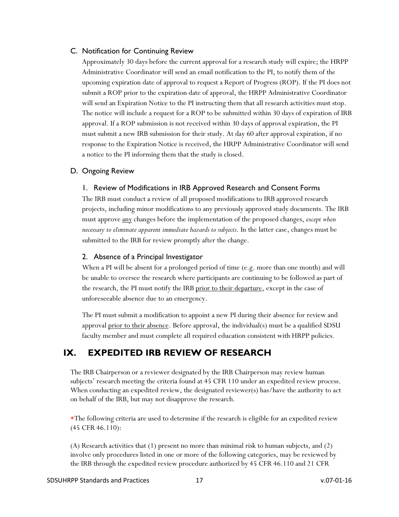### <span id="page-16-0"></span>C. Notification for Continuing Review

Approximately 30 days before the current approval for a research study will expire; the HRPP Administrative Coordinator will send an email notification to the PI, to notify them of the upcoming expiration date of approval to request a Report of Progress (ROP). If the PI does not submit a ROP prior to the expiration date of approval, the HRPP Administrative Coordinator will send an Expiration Notice to the PI instructing them that all research activities must stop. The notice will include a request for a ROP to be submitted within 30 days of expiration of IRB approval. If a ROP submission is not received within 30 days of approval expiration, the PI must submit a new IRB submission for their study. At day 60 after approval expiration, if no response to the Expiration Notice is received, the HRPP Administrative Coordinator will send a notice to the PI informing them that the study is closed.

#### <span id="page-16-2"></span><span id="page-16-1"></span>D. Ongoing Review

#### 1. Review of Modifications in IRB Approved Research and Consent Forms

The IRB must conduct a review of all proposed modifications to IRB approved research projects, including minor modifications to any previously approved study documents. The IRB must approve any changes before the implementation of the proposed changes, *except when necessary to eliminate apparent immediate hazards to subjects*. In the latter case, changes must be submitted to the IRB for review promptly after the change.

#### <span id="page-16-3"></span>2. Absence of a Principal Investigator

When a PI will be absent for a prolonged period of time (e.g. more than one month) and will be unable to oversee the research where participants are continuing to be followed as part of the research, the PI must notify the IRB prior to their departure, except in the case of unforeseeable absence due to an emergency.

The PI must submit a modification to appoint a new PI during their absence for review and approval <u>prior to their absence</u>. Before approval, the individual(s) must be a qualified SDSU faculty member and must complete all required education consistent with HRPP policies.

# <span id="page-16-4"></span>**IX. EXPEDITED IRB REVIEW OF RESEARCH**

The IRB Chairperson or a reviewer designated by the IRB Chairperson may review human subjects' research meeting the criteria found at 45 CFR 110 under an expedited review process. When conducting an expedited review, the designated reviewer(s) has/have the authority to act on behalf of the IRB, but may not disapprove the research.

∗The following criteria are used to determine if the research is eligible for an expedited review (45 CFR 46.110):

(A) Research activities that (1) present no more than minimal risk to human subjects, and (2) involve only procedures listed in one or more of the following categories, may be reviewed by the IRB through the expedited review procedure authorized by 45 CFR 46.110 and 21 CFR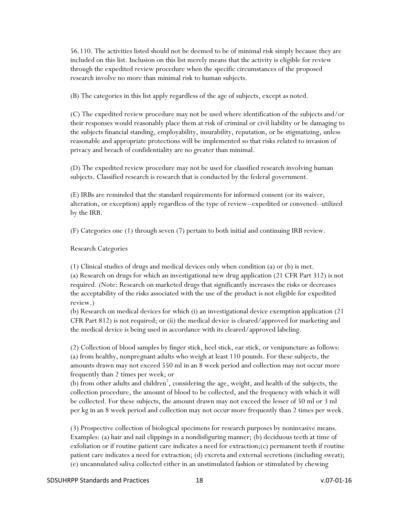56.110. The activities listed should not be deemed to be of minimal risk simply because they are included on this list. Inclusion on this list merely means that the activity is eligible for review through the expedited review procedure when the specific circumstances of the proposed research involve no more than minimal risk to human subjects.

(B) The categories in this list apply regardless of the age of subjects, except as noted.

(C) The expedited review procedure may not be used where identification of the subjects and/or their responses would reasonably place them at risk of criminal or civil liability or be damaging to the subjects financial standing, employability, insurability, reputation, or be stigmatizing, unless reasonable and appropriate protections will be implemented so that risks related to invasion of privacy and breach of confidentiality are no greater than minimal.

(D) The expedited review procedure may not be used for classified research involving human subjects. Classified research is research that is conducted by the federal government.

(E) IRBs are reminded that the standard requirements for informed consent (or its waiver, alteration, or exception) apply regardless of the type of review--expedited or convened--utilized by the IRB.

(F) Categories one (1) through seven (7) pertain to both initial and continuing IRB review.

Research Categories

(1) Clinical studies of drugs and medical devices only when condition (a) or (b) is met.

(a) Research on drugs for which an investigational new drug application (21 CFR Part 312) is not required. (Note: Research on marketed drugs that significantly increases the risks or decreases the acceptability of the risks associated with the use of the product is not eligible for expedited review.)

(b) Research on medical devices for which (i) an investigational device exemption application (21 CFR Part 812) is not required; or (ii) the medical device is cleared/approved for marketing and the medical device is being used in accordance with its cleared/approved labeling.

(2) Collection of blood samples by finger stick, heel stick, ear stick, or venipuncture as follows: (a) from healthy, nonpregnant adults who weigh at least 110 pounds. For these subjects, the amounts drawn may not exceed 550 ml in an 8 week period and collection may not occur more frequently than 2 times per week; or

(b) from other adults and children<sup>2</sup>, considering the age, weight, and health of the subjects, the collection procedure, the amount of blood to be collected, and the frequency with which it will be collected. For these subjects, the amount drawn may not exceed the lesser of 50 ml or 3 ml per kg in an 8 week period and collection may not occur more frequently than 2 times per week.

(3) Prospective collection of biological specimens for research purposes by noninvasive means. Examples: (a) hair and nail clippings in a nondisfiguring manner; (b) deciduous teeth at time of exfoliation or if routine patient care indicates a need for  $extraction$ ;(c) permanent teeth if routine patient care indicates a need for extraction; (d) excreta and external secretions (including sweat); (e) uncannulated saliva collected either in an unstimulated fashion or stimulated by chewing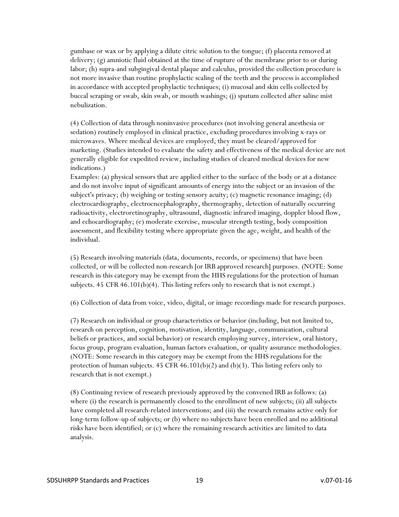gumbase or wax or by applying a dilute citric solution to the tongue; (f) placenta removed at delivery; (g) amniotic fluid obtained at the time of rupture of the membrane prior to or during labor; (h) supra-and subgingival dental plaque and calculus, provided the collection procedure is not more invasive than routine prophylactic scaling of the teeth and the process is accomplished in accordance with accepted prophylactic techniques; (i) mucosal and skin cells collected by buccal scraping or swab, skin swab, or mouth washings; (j) sputum collected after saline mist nebulization.

(4) Collection of data through noninvasive procedures (not involving general anesthesia or sedation) routinely employed in clinical practice, excluding procedures involving x-rays or microwaves. Where medical devices are employed, they must be cleared/approved for marketing. (Studies intended to evaluate the safety and effectiveness of the medical device are not generally eligible for expedited review, including studies of cleared medical devices for new indications.)

Examples: (a) physical sensors that are applied either to the surface of the body or at a distance and do not involve input of significant amounts of energy into the subject or an invasion of the subject's privacy; (b) weighing or testing sensory acuity; (c) magnetic resonance imaging; (d) electrocardiography, electroencephalography, thermography, detection of naturally occurring radioactivity, electroretinography, ultrasound, diagnostic infrared imaging, doppler blood flow, and echocardiography; (e) moderate exercise, muscular strength testing, body composition assessment, and flexibility testing where appropriate given the age, weight, and health of the individual.

(5) Research involving materials (data, documents, records, or specimens) that have been collected, or will be collected non-research [or IRB approved research] purposes. (NOTE: Some research in this category may be exempt from the HHS regulations for the protection of human subjects.  $45$  CFR  $46.101(b)(4)$ . This listing refers only to research that is not exempt.)

(6) Collection of data from voice, video, digital, or image recordings made for research purposes.

(7) Research on individual or group characteristics or behavior (including, but not limited to, research on perception, cognition, motivation, identity, language, communication, cultural beliefs or practices, and social behavior) or research employing survey, interview, oral history, focus group, program evaluation, human factors evaluation, or quality assurance methodologies. (NOTE: Some research in this category may be exempt from the HHS regulations for the protection of human subjects. 45 CFR 46.101(b)(2) and (b)(3). This listing refers only to research that is not exempt.)

(8) Continuing review of research previously approved by the convened IRB as follows: (a) where (i) the research is permanently closed to the enrollment of new subjects; (ii) all subjects have completed all research-related interventions; and (iii) the research remains active only for long-term follow-up of subjects; or (b) where no subjects have been enrolled and no additional risks have been identified; or (c) where the remaining research activities are limited to data analysis.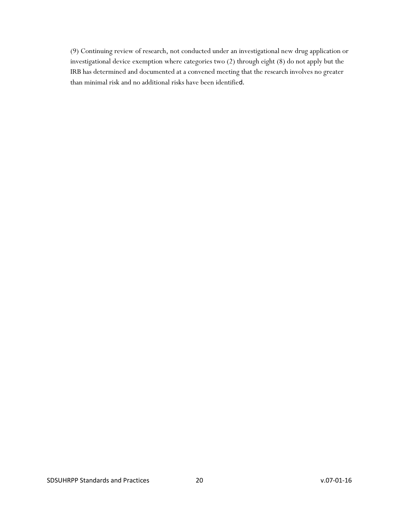(9) Continuing review of research, not conducted under an investigational new drug application or investigational device exemption where categories two (2) through eight (8) do not apply but the IRB has determined and documented at a convened meeting that the research involves no greater than minimal risk and no additional risks have been identified.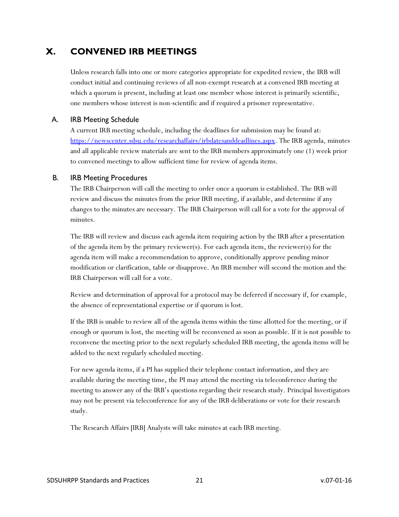# <span id="page-20-0"></span>**X. CONVENED IRB MEETINGS**

Unless research falls into one or more categories appropriate for expedited review, the IRB will conduct initial and continuing reviews of all non-exempt research at a convened IRB meeting at which a quorum is present, including at least one member whose interest is primarily scientific, one members whose interest is non-scientific and if required a prisoner representative.

### <span id="page-20-1"></span>A. IRB Meeting Schedule

A current IRB meeting schedule, including the deadlines for submission may be found at: [https://newscenter.sdsu.edu/researchaffairs/irbdatesanddeadlines.aspx.](https://newscenter.sdsu.edu/researchaffairs/irbdatesanddeadlines.aspx) The IRB agenda, minutes and all applicable review materials are sent to the IRB members approximately one (1) week prior to convened meetings to allow sufficient time for review of agenda items.

#### <span id="page-20-2"></span>B. IRB Meeting Procedures

The IRB Chairperson will call the meeting to order once a quorum is established. The IRB will review and discuss the minutes from the prior IRB meeting, if available, and determine if any changes to the minutes are necessary. The IRB Chairperson will call for a vote for the approval of minutes.

The IRB will review and discuss each agenda item requiring action by the IRB after a presentation of the agenda item by the primary reviewer(s). For each agenda item, the reviewer(s) for the agenda item will make a recommendation to approve, conditionally approve pending minor modification or clarification, table or disapprove. An IRB member will second the motion and the IRB Chairperson will call for a vote.

Review and determination of approval for a protocol may be deferred if necessary if, for example, the absence of representational expertise or if quorum is lost.

If the IRB is unable to review all of the agenda items within the time allotted for the meeting, or if enough or quorum is lost, the meeting will be reconvened as soon as possible. If it is not possible to reconvene the meeting prior to the next regularly scheduled IRB meeting, the agenda items will be added to the next regularly scheduled meeting.

For new agenda items, if a PI has supplied their telephone contact information, and they are available during the meeting time, the PI may attend the meeting via teleconference during the meeting to answer any of the IRB's questions regarding their research study. Principal Investigators may not be present via teleconference for any of the IRB deliberations or vote for their research study.

The Research Affairs [IRB] Analysts will take minutes at each IRB meeting.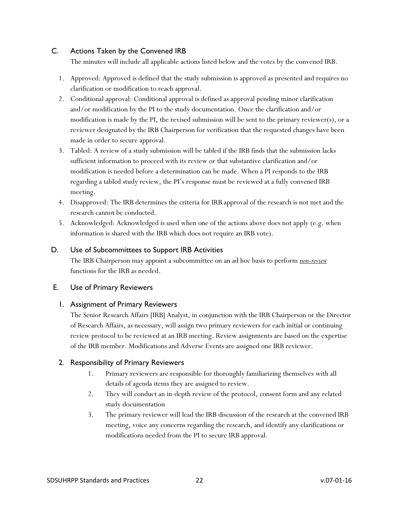### <span id="page-21-0"></span>C. Actions Taken by the Convened IRB

The minutes will include all applicable actions listed below and the votes by the convened IRB.

- 1. Approved: Approved is defined that the study submission is approved as presented and requires no clarification or modification to reach approval.
- 2. Conditional approval: Conditional approval is defined as approval pending minor clarification and/or modification by the PI to the study documentation. Once the clarification and/or modification is made by the PI, the revised submission will be sent to the primary reviewer(s), or a reviewer designated by the IRB Chairperson for verification that the requested changes have been made in order to secure approval.
- 3. Tabled: A review of a study submission will be tabled if the IRB finds that the submission lacks sufficient information to proceed with its review or that substantive clarification and/or modification is needed before a determination can be made. When a PI responds to the IRB regarding a tabled study review, the PI's response must be reviewed at a fully convened IRB meeting.
- 4. Disapproved: The IRB determines the criteria for IRB approval of the research is not met and the research cannot be conducted.
- 5. Acknowledged: Acknowledged is used when one of the actions above does not apply (e.g. when information is shared with the IRB which does not require an IRB vote).

### <span id="page-21-1"></span>D. Use of Subcommittees to Support IRB Activities

The IRB Chairperson may appoint a subcommittee on an ad hoc basis to perform *non-review* functions for the IRB as needed.

### <span id="page-21-3"></span><span id="page-21-2"></span>E. Use of Primary Reviewers

### 1. Assignment of Primary Reviewers

The Senior Research Affairs [IRB] Analyst, in conjunction with the IRB Chairperson or the Director of Research Affairs, as necessary, will assign two primary reviewers for each initial or continuing review protocol to be reviewed at an IRB meeting. Review assignments are based on the expertise of the IRB member. Modifications and Adverse Events are assigned one IRB reviewer.

### <span id="page-21-4"></span>2. Responsibility of Primary Reviewers

- 1. Primary reviewers are responsible for thoroughly familiarizing themselves with all details of agenda items they are assigned to review.
- 2. They will conduct an in-depth review of the protocol, consent form and any related study documentation
- 3. The primary reviewer will lead the IRB discussion of the research at the convened IRB meeting, voice any concerns regarding the research, and identify any clarifications or modifications needed from the PI to secure IRB approval.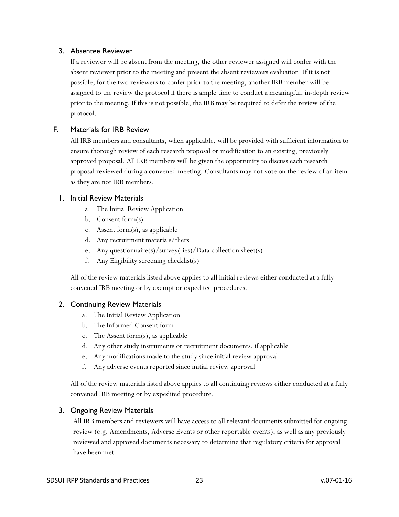#### <span id="page-22-0"></span>3. Absentee Reviewer

If a reviewer will be absent from the meeting, the other reviewer assigned will confer with the absent reviewer prior to the meeting and present the absent reviewers evaluation. If it is not possible, for the two reviewers to confer prior to the meeting, another IRB member will be assigned to the review the protocol if there is ample time to conduct a meaningful, in-depth review prior to the meeting. If this is not possible, the IRB may be required to defer the review of the protocol.

### <span id="page-22-1"></span>F. Materials for IRB Review

All IRB members and consultants, when applicable, will be provided with sufficient information to ensure thorough review of each research proposal or modification to an existing, previously approved proposal. All IRB members will be given the opportunity to discuss each research proposal reviewed during a convened meeting. Consultants may not vote on the review of an item as they are not IRB members.

#### <span id="page-22-2"></span>1. Initial Review Materials

- a. The Initial Review Application
- b. Consent form(s)
- c. Assent form(s), as applicable
- d. Any recruitment materials/fliers
- e. Any questionnaire(s)/survey(-ies)/Data collection sheet(s)
- f. Any Eligibility screening checklist(s)

All of the review materials listed above applies to all initial reviews either conducted at a fully convened IRB meeting or by exempt or expedited procedures.

### <span id="page-22-3"></span>2. Continuing Review Materials

- a. The Initial Review Application
- b. The Informed Consent form
- c. The Assent form(s), as applicable
- d. Any other study instruments or recruitment documents, if applicable
- e. Any modifications made to the study since initial review approval
- f. Any adverse events reported since initial review approval

All of the review materials listed above applies to all continuing reviews either conducted at a fully convened IRB meeting or by expedited procedure.

### <span id="page-22-4"></span>3. Ongoing Review Materials

All IRB members and reviewers will have access to all relevant documents submitted for ongoing review (e.g. Amendments, Adverse Events or other reportable events), as well as any previously reviewed and approved documents necessary to determine that regulatory criteria for approval have been met.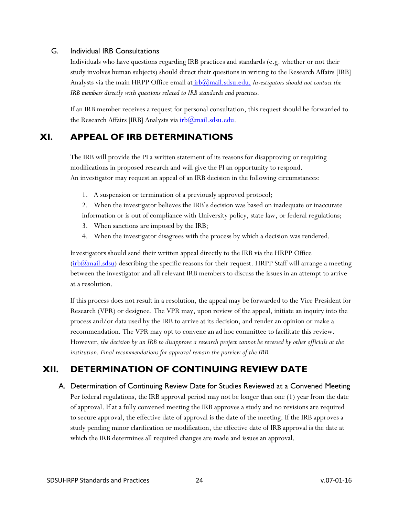### <span id="page-23-0"></span>G. Individual IRB Consultations

Individuals who have questions regarding IRB practices and standards (e.g. whether or not their study involves human subjects) should direct their questions in writing to the Research Affairs [IRB] Analysts via the main HRPP Office email at *[irb@mail.sdsu.edu.](mailto:%20irb@mail.sdsu.edu.) Investigators should not contact the IRB members directly with questions related to IRB standards and practices.*

If an IRB member receives a request for personal consultation, this request should be forwarded to the Research Affairs [IRB] Analysts via  $irb@mail.sdsu.edu$ .

# <span id="page-23-1"></span>**XI. APPEAL OF IRB DETERMINATIONS**

The IRB will provide the PI a written statement of its reasons for disapproving or requiring modifications in proposed research and will give the PI an opportunity to respond. An investigator may request an appeal of an IRB decision in the following circumstances:

1. A suspension or termination of a previously approved protocol;

2. When the investigator believes the IRB's decision was based on inadequate or inaccurate information or is out of compliance with University policy, state law, or federal regulations;

- 3. When sanctions are imposed by the IRB;
- 4. When the investigator disagrees with the process by which a decision was rendered.

Investigators should send their written appeal directly to the IRB via the HRPP Office  $(irb@mail.sdsu)$  describing the specific reasons for their request. HRPP Staff will arrange a meeting between the investigator and all relevant IRB members to discuss the issues in an attempt to arrive at a resolution.

If this process does not result in a resolution, the appeal may be forwarded to the Vice President for Research (VPR) or designee. The VPR may, upon review of the appeal, initiate an inquiry into the process and/or data used by the IRB to arrive at its decision, and render an opinion or make a recommendation. The VPR may opt to convene an ad hoc committee to facilitate this review. However, *the decision by an IRB to disapprove a research project cannot be reversed by other officials at the institution. Final recommendations for approval remain the purview of the IRB.*

# <span id="page-23-3"></span><span id="page-23-2"></span>**XII. DETERMINATION OF CONTINUING REVIEW DATE**

A. Determination of Continuing Review Date for Studies Reviewed at a Convened Meeting Per federal regulations, the IRB approval period may not be longer than one (1) year from the date of approval. If at a fully convened meeting the IRB approves a study and no revisions are required to secure approval, the effective date of approval is the date of the meeting. If the IRB approves a study pending minor clarification or modification, the effective date of IRB approval is the date at which the IRB determines all required changes are made and issues an approval.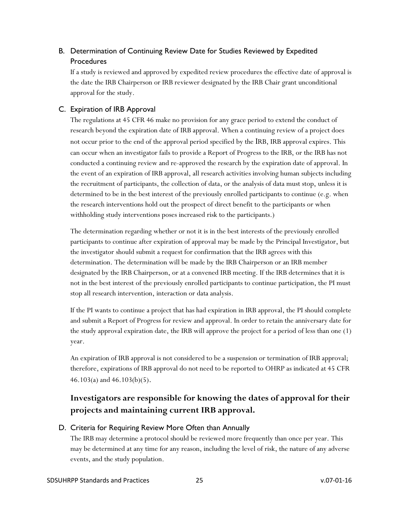### <span id="page-24-0"></span>B. Determination of Continuing Review Date for Studies Reviewed by Expedited **Procedures**

If a study is reviewed and approved by expedited review procedures the effective date of approval is the date the IRB Chairperson or IRB reviewer designated by the IRB Chair grant unconditional approval for the study.

### <span id="page-24-1"></span>C. Expiration of IRB Approval

The regulations at 45 CFR 46 make no provision for any grace period to extend the conduct of research beyond the expiration date of IRB approval. When a continuing review of a project does not occur prior to the end of the approval period specified by the IRB, IRB approval expires. This can occur when an investigator fails to provide a Report of Progress to the IRB, or the IRB has not conducted a continuing review and re-approved the research by the expiration date of approval. In the event of an expiration of IRB approval, all research activities involving human subjects including the recruitment of participants, the collection of data, or the analysis of data must stop, unless it is determined to be in the best interest of the previously enrolled participants to continue (e.g. when the research interventions hold out the prospect of direct benefit to the participants or when withholding study interventions poses increased risk to the participants.)

The determination regarding whether or not it is in the best interests of the previously enrolled participants to continue after expiration of approval may be made by the Principal Investigator, but the investigator should submit a request for confirmation that the IRB agrees with this determination. The determination will be made by the IRB Chairperson or an IRB member designated by the IRB Chairperson, or at a convened IRB meeting. If the IRB determines that it is not in the best interest of the previously enrolled participants to continue participation, the PI must stop all research intervention, interaction or data analysis.

If the PI wants to continue a project that has had expiration in IRB approval, the PI should complete and submit a Report of Progress for review and approval. In order to retain the anniversary date for the study approval expiration date, the IRB will approve the project for a period of less than one (1) year.

An expiration of IRB approval is not considered to be a suspension or termination of IRB approval; therefore, expirations of IRB approval do not need to be reported to OHRP as indicated at 45 CFR 46.103(a) and 46.103(b)(5).

# **Investigators are responsible for knowing the dates of approval for their projects and maintaining current IRB approval.**

### <span id="page-24-2"></span>D. Criteria for Requiring Review More Often than Annually

The IRB may determine a protocol should be reviewed more frequently than once per year. This may be determined at any time for any reason, including the level of risk, the nature of any adverse events, and the study population.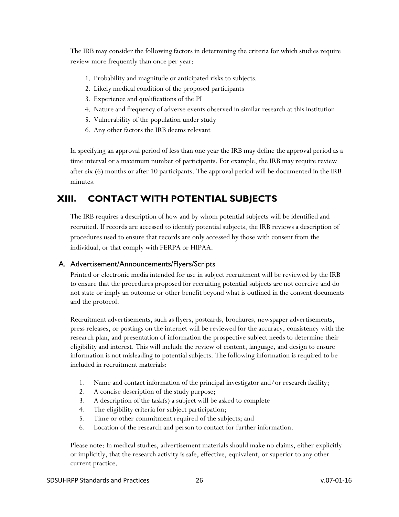The IRB may consider the following factors in determining the criteria for which studies require review more frequently than once per year:

- 1. Probability and magnitude or anticipated risks to subjects.
- 2. Likely medical condition of the proposed participants
- 3. Experience and qualifications of the PI
- 4. Nature and frequency of adverse events observed in similar research at this institution
- 5. Vulnerability of the population under study
- 6. Any other factors the IRB deems relevant

In specifying an approval period of less than one year the IRB may define the approval period as a time interval or a maximum number of participants. For example, the IRB may require review after six (6) months or after 10 participants. The approval period will be documented in the IRB minutes.

# <span id="page-25-0"></span>**XIII. CONTACT WITH POTENTIAL SUBJECTS**

The IRB requires a description of how and by whom potential subjects will be identified and recruited. If records are accessed to identify potential subjects, the IRB reviews a description of procedures used to ensure that records are only accessed by those with consent from the individual, or that comply with FERPA or HIPAA.

### <span id="page-25-1"></span>A. Advertisement/Announcements/Flyers/Scripts

Printed or electronic media intended for use in subject recruitment will be reviewed by the IRB to ensure that the procedures proposed for recruiting potential subjects are not coercive and do not state or imply an outcome or other benefit beyond what is outlined in the consent documents and the protocol.

Recruitment advertisements, such as flyers, postcards, brochures, newspaper advertisements, press releases, or postings on the internet will be reviewed for the accuracy, consistency with the research plan, and presentation of information the prospective subject needs to determine their eligibility and interest. This will include the review of content, language, and design to ensure information is not misleading to potential subjects. The following information is required to be included in recruitment materials:

- 1. Name and contact information of the principal investigator and/or research facility;
- 2. A concise description of the study purpose;
- 3. A description of the task(s) a subject will be asked to complete
- 4. The eligibility criteria for subject participation;
- 5. Time or other commitment required of the subjects; and
- 6. Location of the research and person to contact for further information.

Please note: In medical studies, advertisement materials should make no claims, either explicitly or implicitly, that the research activity is safe, effective, equivalent, or superior to any other current practice.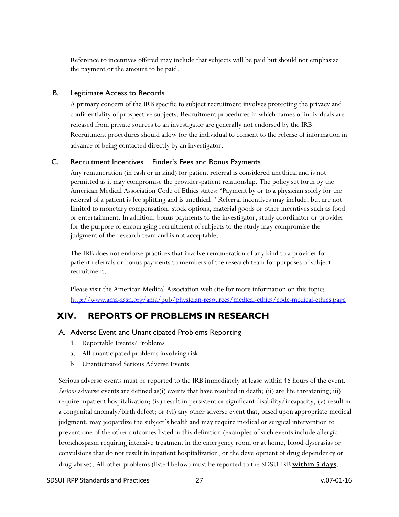Reference to incentives offered may include that subjects will be paid but should not emphasize the payment or the amount to be paid.

### <span id="page-26-0"></span>B. Legitimate Access to Records

A primary concern of the IRB specific to subject recruitment involves protecting the privacy and confidentiality of prospective subjects. Recruitment procedures in which names of individuals are released from private sources to an investigator are generally not endorsed by the IRB. Recruitment procedures should allow for the individual to consent to the release of information in advance of being contacted directly by an investigator.

### <span id="page-26-1"></span>C. Recruitment Incentives ̶Finder's Fees and Bonus Payments

Any remuneration (in cash or in kind) for patient referral is considered unethical and is not permitted as it may compromise the provider-patient relationship. The policy set forth by the American Medical Association Code of Ethics states: "Payment by or to a physician solely for the referral of a patient is fee splitting and is unethical." Referral incentives may include, but are not limited to monetary compensation, stock options, material goods or other incentives such as food or entertainment. In addition, bonus payments to the investigator, study coordinator or provider for the purpose of encouraging recruitment of subjects to the study may compromise the judgment of the research team and is not acceptable.

The IRB does not endorse practices that involve remuneration of any kind to a provider for patient referrals or bonus payments to members of the research team for purposes of subject recruitment.

Please visit the American Medical Association web site for more information on this topic: <http://www.ama-assn.org/ama/pub/physician-resources/medical-ethics/code-medical-ethics.page>

# <span id="page-26-2"></span>**XIV. REPORTS OF PROBLEMS IN RESEARCH**

### <span id="page-26-3"></span>A. Adverse Event and Unanticipated Problems Reporting

- 1. Reportable Events/Problems
- a. All unanticipated problems involving risk
- b. Unanticipated Serious Adverse Events

Serious adverse events must be reported to the IRB immediately at lease within 48 hours of the event. *Serious* adverse events are defined as(i) events that have resulted in death; (ii) are life threatening; iii) require inpatient hospitalization; (iv) result in persistent or significant disability/incapacity, (v) result in a congenital anomaly/birth defect; or (vi) any other adverse event that, based upon appropriate medical judgment, may jeopardize the subject's health and may require medical or surgical intervention to prevent one of the other outcomes listed in this definition (examples of such events include allergic bronchospasm requiring intensive treatment in the emergency room or at home, blood dyscrasias or convulsions that do not result in inpatient hospitalization, or the development of drug dependency or drug abuse). All other problems (listed below) must be reported to the SDSU IRB **within 5 days**.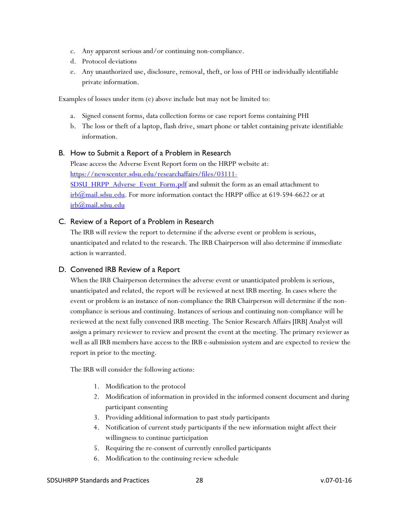- c. Any apparent serious and/or continuing non-compliance.
- d. Protocol deviations
- e. Any unauthorized use, disclosure, removal, theft, or loss of PHI or individually identifiable private information.

Examples of losses under item (e) above include but may not be limited to:

- a. Signed consent forms, data collection forms or case report forms containing PHI
- b. The loss or theft of a laptop, flash drive, smart phone or tablet containing private identifiable information.

### <span id="page-27-0"></span>B. How to Submit a Report of a Problem in Research

Please access the Adverse Event Report form on the HRPP website at: [https://newscenter.sdsu.edu/researchaffairs/files/03111-](https://newscenter.sdsu.edu/researchaffairs/files/03111-SDSU_HRPP_Adverse_Event_Form.pdf) [SDSU\\_HRPP\\_Adverse\\_Event\\_Form.pdf](https://newscenter.sdsu.edu/researchaffairs/files/03111-SDSU_HRPP_Adverse_Event_Form.pdf) and submit the form as an email attachment to  $irb@mail.sdsu.edu.$  For more information contact the HRPP office at 619-594-6622 or at [irb@mail.sdsu.edu](mailto:irb@mail.sdsu.edu)

### <span id="page-27-1"></span>C. Review of a Report of a Problem in Research

The IRB will review the report to determine if the adverse event or problem is serious, unanticipated and related to the research. The IRB Chairperson will also determine if immediate action is warranted.

### <span id="page-27-2"></span>D. Convened IRB Review of a Report

When the IRB Chairperson determines the adverse event or unanticipated problem is serious, unanticipated and related, the report will be reviewed at next IRB meeting. In cases where the event or problem is an instance of non-compliance the IRB Chairperson will determine if the noncompliance is serious and continuing. Instances of serious and continuing non-compliance will be reviewed at the next fully convened IRB meeting. The Senior Research Affairs [IRB] Analyst will assign a primary reviewer to review and present the event at the meeting. The primary reviewer as well as all IRB members have access to the IRB e-submission system and are expected to review the report in prior to the meeting.

The IRB will consider the following actions:

- 1. Modification to the protocol
- 2. Modification of information in provided in the informed consent document and during participant consenting
- 3. Providing additional information to past study participants
- 4. Notification of current study participants if the new information might affect their willingness to continue participation
- 5. Requiring the re-consent of currently enrolled participants
- 6. Modification to the continuing review schedule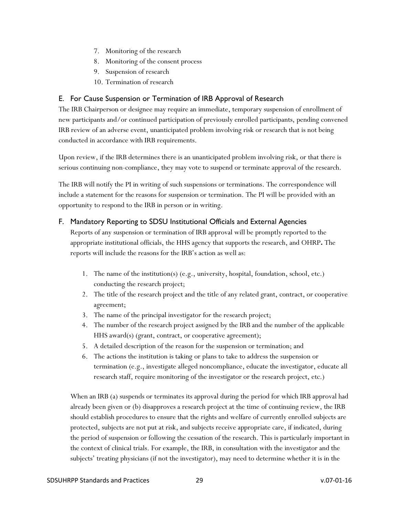- 7. Monitoring of the research
- 8. Monitoring of the consent process
- 9. Suspension of research
- 10. Termination of research

### <span id="page-28-0"></span>E. For Cause Suspension or Termination of IRB Approval of Research

The IRB Chairperson or designee may require an immediate, temporary suspension of enrollment of new participants and/or continued participation of previously enrolled participants, pending convened IRB review of an adverse event, unanticipated problem involving risk or research that is not being conducted in accordance with IRB requirements.

Upon review, if the IRB determines there is an unanticipated problem involving risk, or that there is serious continuing non-compliance, they may vote to suspend or terminate approval of the research.

The IRB will notify the PI in writing of such suspensions or terminations. The correspondence will include a statement for the reasons for suspension or termination. The PI will be provided with an opportunity to respond to the IRB in person or in writing.

### <span id="page-28-1"></span>F. Mandatory Reporting to SDSU Institutional Officials and External Agencies

Reports of any suspension or termination of IRB approval will be promptly reported to the appropriate institutional officials, the HHS agency that supports the research, and OHRP**.** The reports will include the reasons for the IRB's action as well as:

- 1. The name of the institution(s) (e.g., university, hospital, foundation, school, etc.) conducting the research project;
- 2. The title of the research project and the title of any related grant, contract, or cooperative agreement;
- 3. The name of the principal investigator for the research project;
- 4. The number of the research project assigned by the IRB and the number of the applicable HHS award(s) (grant, contract, or cooperative agreement);
- 5. A detailed description of the reason for the suspension or termination; and
- 6. The actions the institution is taking or plans to take to address the suspension or termination (e.g., investigate alleged noncompliance, educate the investigator, educate all research staff, require monitoring of the investigator or the research project, etc.)

When an IRB (a) suspends or terminates its approval during the period for which IRB approval had already been given or (b) disapproves a research project at the time of continuing review, the IRB should establish procedures to ensure that the rights and welfare of currently enrolled subjects are protected, subjects are not put at risk, and subjects receive appropriate care, if indicated, during the period of suspension or following the cessation of the research. This is particularly important in the context of clinical trials. For example, the IRB, in consultation with the investigator and the subjects' treating physicians (if not the investigator), may need to determine whether it is in the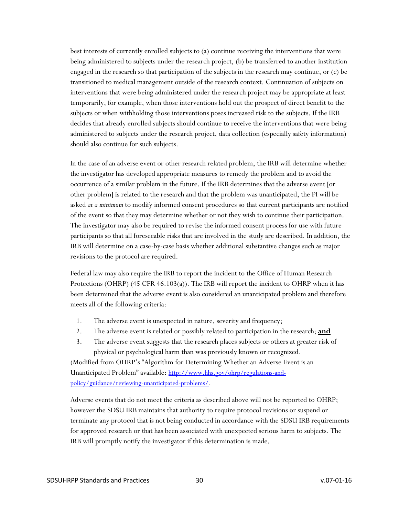best interests of currently enrolled subjects to (a) continue receiving the interventions that were being administered to subjects under the research project, (b) be transferred to another institution engaged in the research so that participation of the subjects in the research may continue, or (c) be transitioned to medical management outside of the research context. Continuation of subjects on interventions that were being administered under the research project may be appropriate at least temporarily, for example, when those interventions hold out the prospect of direct benefit to the subjects or when withholding those interventions poses increased risk to the subjects. If the IRB decides that already enrolled subjects should continue to receive the interventions that were being administered to subjects under the research project, data collection (especially safety information) should also continue for such subjects.

In the case of an adverse event or other research related problem, the IRB will determine whether the investigator has developed appropriate measures to remedy the problem and to avoid the occurrence of a similar problem in the future. If the IRB determines that the adverse event [or other problem] is related to the research and that the problem was unanticipated, the PI will be asked *at a minimum* to modify informed consent procedures so that current participants are notified of the event so that they may determine whether or not they wish to continue their participation. The investigator may also be required to revise the informed consent process for use with future participants so that all foreseeable risks that are involved in the study are described. In addition, the IRB will determine on a case-by-case basis whether additional substantive changes such as major revisions to the protocol are required.

Federal law may also require the IRB to report the incident to the Office of Human Research Protections (OHRP) (45 CFR 46.103(a)). The IRB will report the incident to OHRP when it has been determined that the adverse event is also considered an unanticipated problem and therefore meets all of the following criteria:

- 1. The adverse event is unexpected in nature, severity and frequency;
- 2. The adverse event is related or possibly related to participation in the research; **and**
- 3. The adverse event suggests that the research places subjects or others at greater risk of physical or psychological harm than was previously known or recognized.

(Modified from OHRP's "Algorithm for Determining Whether an Adverse Event is an Unanticipated Problem" available: [http://www.hhs.gov/ohrp/regulations-and](http://www.hhs.gov/ohrp/regulations-and-policy/guidance/reviewing-unanticipated-problems/)[policy/guidance/reviewing-unanticipated-problems/.](http://www.hhs.gov/ohrp/regulations-and-policy/guidance/reviewing-unanticipated-problems/)

Adverse events that do not meet the criteria as described above will not be reported to OHRP; however the SDSU IRB maintains that authority to require protocol revisions or suspend or terminate any protocol that is not being conducted in accordance with the SDSU IRB requirements for approved research or that has been associated with unexpected serious harm to subjects. The IRB will promptly notify the investigator if this determination is made.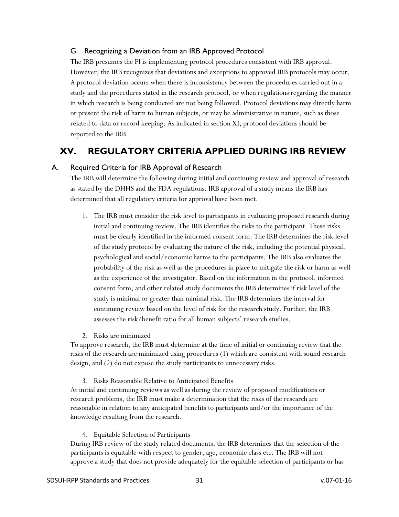### <span id="page-30-0"></span>G. Recognizing a Deviation from an IRB Approved Protocol

The IRB presumes the PI is implementing protocol procedures consistent with IRB approval. However, the IRB recognizes that deviations and exceptions to approved IRB protocols may occur. A protocol deviation occurs when there is inconsistency between the procedures carried out in a study and the procedures stated in the research protocol, or when regulations regarding the manner in which research is being conducted are not being followed. Protocol deviations may directly harm or present the risk of harm to human subjects, or may be administrative in nature, such as those related to data or record keeping. As indicated in section XI, protocol deviations should be reported to the IRB.

# <span id="page-30-1"></span>**XV. REGULATORY CRITERIA APPLIED DURING IRB REVIEW**

### <span id="page-30-2"></span>A. Required Criteria for IRB Approval of Research

The IRB will determine the following during initial and continuing review and approval of research as stated by the DHHS and the FDA regulations. IRB approval of a study means the IRB has determined that all regulatory criteria for approval have been met.

1. The IRB must consider the risk level to participants in evaluating proposed research during initial and continuing review. The IRB identifies the risks to the participant. These risks must be clearly identified in the informed consent form. The IRB determines the risk level of the study protocol by evaluating the nature of the risk, including the potential physical, psychological and social/economic harms to the participants. The IRB also evaluates the probability of the risk as well as the procedures in place to mitigate the risk or harm as well as the experience of the investigator. Based on the information in the protocol, informed consent form, and other related study documents the IRB determines if risk level of the study is minimal or greater than minimal risk. The IRB determines the interval for continuing review based on the level of risk for the research study. Further, the IRB assesses the risk/benefit ratio for all human subjects' research studies.

2. Risks are minimized

To approve research, the IRB must determine at the time of initial or continuing review that the risks of the research are minimized using procedures (1) which are consistent with sound research design, and (2) do not expose the study participants to unnecessary risks.

3. Risks Reasonable Relative to Anticipated Benefits

At initial and continuing reviews as well as during the review of proposed modifications or research problems, the IRB must make a determination that the risks of the research are reasonable in relation to any anticipated benefits to participants and/or the importance of the knowledge resulting from the research.

4. Equitable Selection of Participants

During IRB review of the study related documents, the IRB determines that the selection of the participants is equitable with respect to gender, age, economic class etc. The IRB will not approve a study that does not provide adequately for the equitable selection of participants or has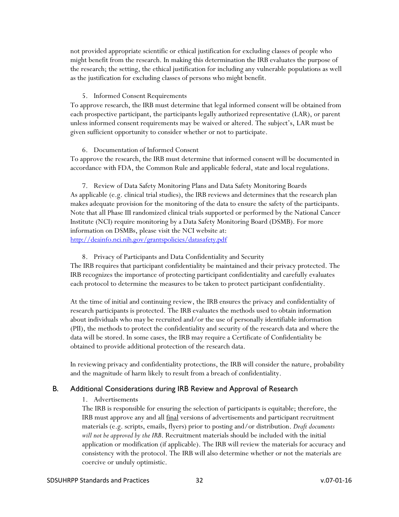not provided appropriate scientific or ethical justification for excluding classes of people who might benefit from the research. In making this determination the IRB evaluates the purpose of the research; the setting, the ethical justification for including any vulnerable populations as well as the justification for excluding classes of persons who might benefit.

#### 5. Informed Consent Requirements

To approve research, the IRB must determine that legal informed consent will be obtained from each prospective participant, the participants legally authorized representative (LAR), or parent unless informed consent requirements may be waived or altered. The subject's, LAR must be given sufficient opportunity to consider whether or not to participate.

#### 6. Documentation of Informed Consent

To approve the research, the IRB must determine that informed consent will be documented in accordance with FDA, the Common Rule and applicable federal, state and local regulations.

7. Review of Data Safety Monitoring Plans and Data Safety Monitoring Boards As applicable (e.g. clinical trial studies), the IRB reviews and determines that the research plan makes adequate provision for the monitoring of the data to ensure the safety of the participants. Note that all Phase III randomized clinical trials supported or performed by the National Cancer Institute (NCI) require monitoring by a Data Safety Monitoring Board (DSMB). For more information on DSMBs, please visit the NCI website at: <http://deainfo.nci.nih.gov/grantspolicies/datasafety.pdf>

#### 8. Privacy of Participants and Data Confidentiality and Security

The IRB requires that participant confidentiality be maintained and their privacy protected. The IRB recognizes the importance of protecting participant confidentiality and carefully evaluates each protocol to determine the measures to be taken to protect participant confidentiality.

At the time of initial and continuing review, the IRB ensures the privacy and confidentiality of research participants is protected. The IRB evaluates the methods used to obtain information about individuals who may be recruited and/or the use of personally identifiable information (PII), the methods to protect the confidentiality and security of the research data and where the data will be stored. In some cases, the IRB may require a Certificate of Confidentiality be obtained to provide additional protection of the research data.

In reviewing privacy and confidentiality protections, the IRB will consider the nature, probability and the magnitude of harm likely to result from a breach of confidentiality.

#### <span id="page-31-0"></span>B. Additional Considerations during IRB Review and Approval of Research

#### 1. Advertisements

The IRB is responsible for ensuring the selection of participants is equitable; therefore, the IRB must approve any and all final versions of advertisements and participant recruitment materials (e.g. scripts, emails, flyers) prior to posting and/or distribution. *Draft documents will not be approved by the IRB*. Recruitment materials should be included with the initial application or modification (if applicable). The IRB will review the materials for accuracy and consistency with the protocol. The IRB will also determine whether or not the materials are coercive or unduly optimistic.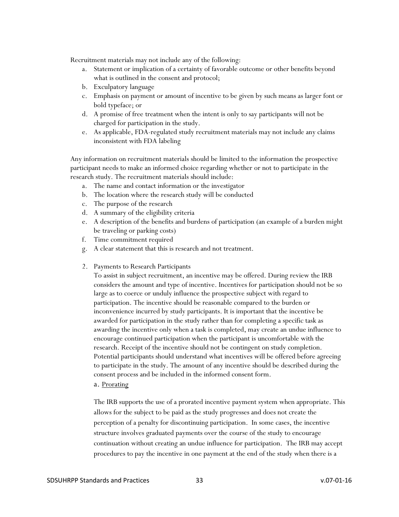Recruitment materials may not include any of the following:

- a. Statement or implication of a certainty of favorable outcome or other benefits beyond what is outlined in the consent and protocol;
- b. Exculpatory language
- c. Emphasis on payment or amount of incentive to be given by such means as larger font or bold typeface; or
- d. A promise of free treatment when the intent is only to say participants will not be charged for participation in the study.
- e. As applicable, FDA-regulated study recruitment materials may not include any claims inconsistent with FDA labeling

Any information on recruitment materials should be limited to the information the prospective participant needs to make an informed choice regarding whether or not to participate in the research study. The recruitment materials should include:

- a. The name and contact information or the investigator
- b. The location where the research study will be conducted
- c. The purpose of the research
- d. A summary of the eligibility criteria
- e. A description of the benefits and burdens of participation (an example of a burden might be traveling or parking costs)
- f. Time commitment required
- g. A clear statement that this is research and not treatment.
- 2. Payments to Research Participants

To assist in subject recruitment, an incentive may be offered. During review the IRB considers the amount and type of incentive. Incentives for participation should not be so large as to coerce or unduly influence the prospective subject with regard to participation. The incentive should be reasonable compared to the burden or inconvenience incurred by study participants. It is important that the incentive be awarded for participation in the study rather than for completing a specific task as awarding the incentive only when a task is completed, may create an undue influence to encourage continued participation when the participant is uncomfortable with the research. Receipt of the incentive should not be contingent on study completion. Potential participants should understand what incentives will be offered before agreeing to participate in the study. The amount of any incentive should be described during the consent process and be included in the informed consent form.

a. Prorating

The IRB supports the use of a prorated incentive payment system when appropriate. This allows for the subject to be paid as the study progresses and does not create the perception of a penalty for discontinuing participation. In some cases, the incentive structure involves graduated payments over the course of the study to encourage continuation without creating an undue influence for participation. The IRB may accept procedures to pay the incentive in one payment at the end of the study when there is a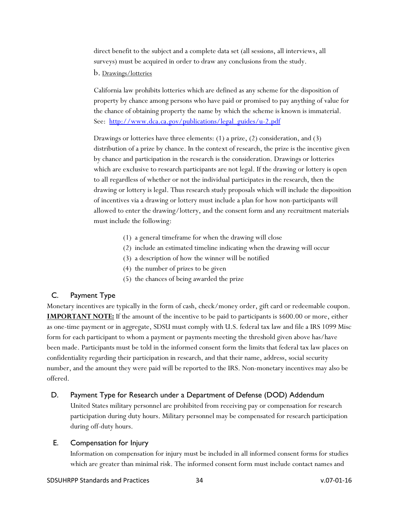direct benefit to the subject and a complete data set (all sessions, all interviews, all surveys) must be acquired in order to draw any conclusions from the study.

b. Drawings/lotteries

California law prohibits lotteries which are defined as any scheme for the disposition of property by chance among persons who have paid or promised to pay anything of value for the chance of obtaining property the name by which the scheme is known is immaterial. See: [http://www.dca.ca.gov/publications/legal\\_guides/u-2.pdf](http://www.dca.ca.gov/publications/legal_guides/u-2.pdf)

Drawings or lotteries have three elements: (1) a prize, (2) consideration, and (3) distribution of a prize by chance. In the context of research, the prize is the incentive given by chance and participation in the research is the consideration. Drawings or lotteries which are exclusive to research participants are not legal. If the drawing or lottery is open to all regardless of whether or not the individual participates in the research, then the drawing or lottery is legal. Thus research study proposals which will include the disposition of incentives via a drawing or lottery must include a plan for how non-participants will allowed to enter the drawing/lottery, and the consent form and any recruitment materials must include the following:

- (1) a general timeframe for when the drawing will close
- (2) include an estimated timeline indicating when the drawing will occur
- (3) a description of how the winner will be notified
- (4) the number of prizes to be given
- (5) the chances of being awarded the prize

### <span id="page-33-0"></span>C. Payment Type

Monetary incentives are typically in the form of cash, check/money order, gift card or redeemable coupon. **IMPORTANT NOTE:** If the amount of the incentive to be paid to participants is \$600.00 or more, either as one-time payment or in aggregate, SDSU must comply with U.S. federal tax law and file a IRS 1099 Misc form for each participant to whom a payment or payments meeting the threshold given above has/have been made. Participants must be told in the informed consent form the limits that federal tax law places on confidentiality regarding their participation in research, and that their name, address, social security number, and the amount they were paid will be reported to the IRS. Non-monetary incentives may also be offered.

### <span id="page-33-1"></span>D. Payment Type for Research under a Department of Defense (DOD) Addendum

United States military personnel are prohibited from receiving pay or compensation for research participation during duty hours. Military personnel may be compensated for research participation during off-duty hours.

### <span id="page-33-2"></span>E. Compensation for Injury

Information on compensation for injury must be included in all informed consent forms for studies which are greater than minimal risk. The informed consent form must include contact names and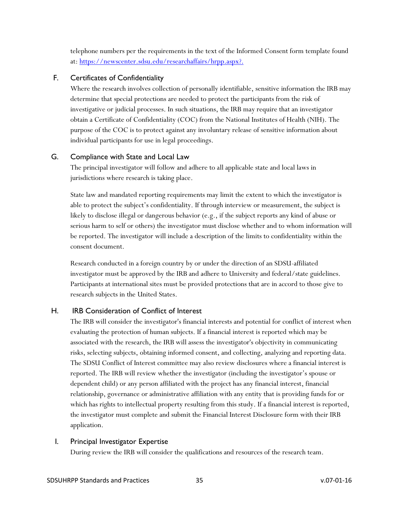telephone numbers per the requirements in the text of the Informed Consent form template found at:<https://newscenter.sdsu.edu/researchaffairs/hrpp.aspx?.>

### <span id="page-34-0"></span>F. Certificates of Confidentiality

Where the research involves collection of personally identifiable, sensitive information the IRB may determine that special protections are needed to protect the participants from the risk of investigative or judicial processes. In such situations, the IRB may require that an investigator obtain a Certificate of Confidentiality (COC) from the National Institutes of Health (NIH). The purpose of the COC is to protect against any involuntary release of sensitive information about individual participants for use in legal proceedings.

### <span id="page-34-1"></span>G. Compliance with State and Local Law

The principal investigator will follow and adhere to all applicable state and local laws in jurisdictions where research is taking place.

State law and mandated reporting requirements may limit the extent to which the investigator is able to protect the subject's confidentiality. If through interview or measurement, the subject is likely to disclose illegal or dangerous behavior (e.g., if the subject reports any kind of abuse or serious harm to self or others) the investigator must disclose whether and to whom information will be reported. The investigator will include a description of the limits to confidentiality within the consent document.

Research conducted in a foreign country by or under the direction of an SDSU-affiliated investigator must be approved by the IRB and adhere to University and federal/state guidelines. Participants at international sites must be provided protections that are in accord to those give to research subjects in the United States.

### H. IRB Consideration of Conflict of Interest

<span id="page-34-2"></span>The IRB will consider the investigator's financial interests and potential for conflict of interest when evaluating the protection of human subjects. If a financial interest is reported which may be associated with the research, the IRB will assess the investigator's objectivity in communicating risks, selecting subjects, obtaining informed consent, and collecting, analyzing and reporting data. The SDSU Conflict of Interest committee may also review disclosures where a financial interest is reported. The IRB will review whether the investigator (including the investigator's spouse or dependent child) or any person affiliated with the project has any financial interest, financial relationship, governance or administrative affiliation with any entity that is providing funds for or which has rights to intellectual property resulting from this study. If a financial interest is reported, the investigator must complete and submit the Financial Interest Disclosure form with their IRB application.

### <span id="page-34-3"></span>I. Principal Investigator Expertise

During review the IRB will consider the qualifications and resources of the research team.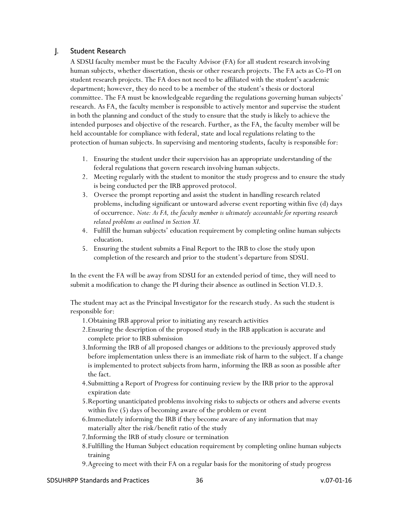### <span id="page-35-0"></span>J. Student Research

A SDSU faculty member must be the Faculty Advisor (FA) for all student research involving human subjects, whether dissertation, thesis or other research projects. The FA acts as Co-PI on student research projects. The FA does not need to be affiliated with the student's academic department; however, they do need to be a member of the student's thesis or doctoral committee. The FA must be knowledgeable regarding the regulations governing human subjects' research. As FA, the faculty member is responsible to actively mentor and supervise the student in both the planning and conduct of the study to ensure that the study is likely to achieve the intended purposes and objective of the research. Further, as the FA, the faculty member will be held accountable for compliance with federal, state and local regulations relating to the protection of human subjects. In supervising and mentoring students, faculty is responsible for:

- 1. Ensuring the student under their supervision has an appropriate understanding of the federal regulations that govern research involving human subjects.
- 2. Meeting regularly with the student to monitor the study progress and to ensure the study is being conducted per the IRB approved protocol.
- 3. Oversee the prompt reporting and assist the student in handling research related problems, including significant or untoward adverse event reporting within five (d) days of occurrence. *Note: As FA, the faculty member is ultimately accountable for reporting research related problems as outlined in Section XI.*
- 4. Fulfill the human subjects' education requirement by completing online human subjects education.
- 5. Ensuring the student submits a Final Report to the IRB to close the study upon completion of the research and prior to the student's departure from SDSU.

In the event the FA will be away from SDSU for an extended period of time, they will need to submit a modification to change the PI during their absence as outlined in Section VI.D.3.

The student may act as the Principal Investigator for the research study. As such the student is responsible for:

- 1.Obtaining IRB approval prior to initiating any research activities
- 2.Ensuring the description of the proposed study in the IRB application is accurate and complete prior to IRB submission
- 3.Informing the IRB of all proposed changes or additions to the previously approved study before implementation unless there is an immediate risk of harm to the subject. If a change is implemented to protect subjects from harm, informing the IRB as soon as possible after the fact.
- 4.Submitting a Report of Progress for continuing review by the IRB prior to the approval expiration date
- 5.Reporting unanticipated problems involving risks to subjects or others and adverse events within five (5) days of becoming aware of the problem or event
- 6.Immediately informing the IRB if they become aware of any information that may materially alter the risk/benefit ratio of the study
- 7.Informing the IRB of study closure or termination
- 8.Fulfilling the Human Subject education requirement by completing online human subjects training
- 9.Agreeing to meet with their FA on a regular basis for the monitoring of study progress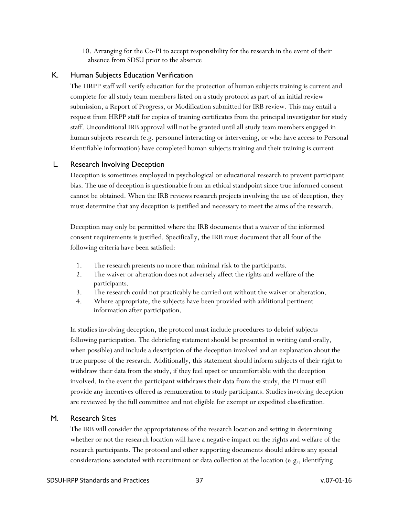10. Arranging for the Co-PI to accept responsibility for the research in the event of their absence from SDSU prior to the absence

### <span id="page-36-0"></span>K. Human Subjects Education Verification

The HRPP staff will verify education for the protection of human subjects training is current and complete for all study team members listed on a study protocol as part of an initial review submission, a Report of Progress, or Modification submitted for IRB review. This may entail a request from HRPP staff for copies of training certificates from the principal investigator for study staff. Unconditional IRB approval will not be granted until all study team members engaged in human subjects research (e.g. personnel interacting or intervening, or who have access to Personal Identifiable Information) have completed human subjects training and their training is current

### <span id="page-36-1"></span>L. Research Involving Deception

Deception is sometimes employed in psychological or educational research to prevent participant bias. The use of deception is questionable from an ethical standpoint since true informed consent cannot be obtained. When the IRB reviews research projects involving the use of deception, they must determine that any deception is justified and necessary to meet the aims of the research.

Deception may only be permitted where the IRB documents that a waiver of the informed consent requirements is justified. Specifically, the IRB must document that all four of the following criteria have been satisfied:

- 1. The research presents no more than minimal risk to the participants.
- 2. The waiver or alteration does not adversely affect the rights and welfare of the participants.
- 3. The research could not practicably be carried out without the waiver or alteration.
- 4. Where appropriate, the subjects have been provided with additional pertinent information after participation.

In studies involving deception, the protocol must include procedures to debrief subjects following participation. The debriefing statement should be presented in writing (and orally, when possible) and include a description of the deception involved and an explanation about the true purpose of the research. Additionally, this statement should inform subjects of their right to withdraw their data from the study, if they feel upset or uncomfortable with the deception involved. In the event the participant withdraws their data from the study, the PI must still provide any incentives offered as remuneration to study participants. Studies involving deception are reviewed by the full committee and not eligible for exempt or expedited classification.

### <span id="page-36-2"></span>M. Research Sites

The IRB will consider the appropriateness of the research location and setting in determining whether or not the research location will have a negative impact on the rights and welfare of the research participants. The protocol and other supporting documents should address any special considerations associated with recruitment or data collection at the location (e.g., identifying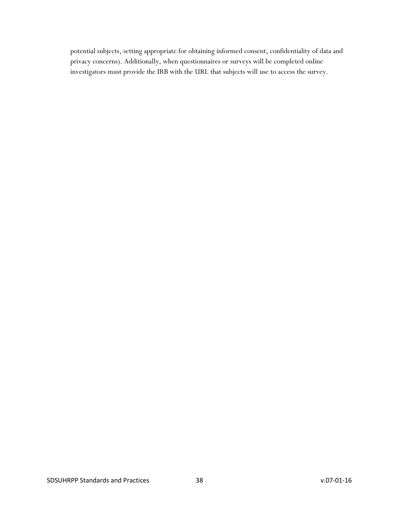potential subjects, setting appropriate for obtaining informed consent, confidentiality of data and privacy concerns). Additionally, when questionnaires or surveys will be completed online investigators must provide the IRB with the URL that subjects will use to access the survey.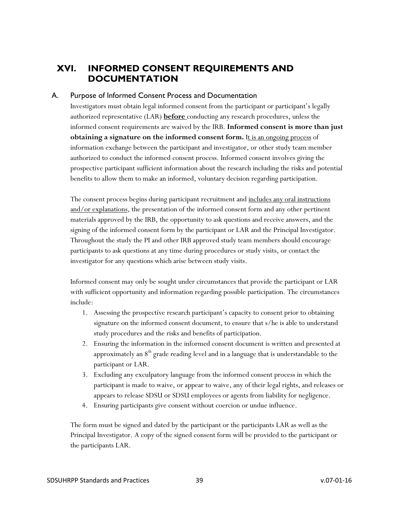# <span id="page-38-0"></span>**XVI. INFORMED CONSENT REQUIREMENTS AND DOCUMENTATION**

### <span id="page-38-1"></span>A. Purpose of Informed Consent Process and Documentation

Investigators must obtain legal informed consent from the participant or participant's legally authorized representative (LAR) **before** conducting any research procedures, unless the informed consent requirements are waived by the IRB. **Informed consent is more than just obtaining a signature on the informed consent form.** It is an ongoing process of information exchange between the participant and investigator, or other study team member authorized to conduct the informed consent process. Informed consent involves giving the prospective participant sufficient information about the research including the risks and potential benefits to allow them to make an informed, voluntary decision regarding participation.

The consent process begins during participant recruitment and includes any oral instructions and/or explanations, the presentation of the informed consent form and any other pertinent materials approved by the IRB, the opportunity to ask questions and receive answers, and the signing of the informed consent form by the participant or LAR and the Principal Investigator. Throughout the study the PI and other IRB approved study team members should encourage participants to ask questions at any time during procedures or study visits, or contact the investigator for any questions which arise between study visits.

Informed consent may only be sought under circumstances that provide the participant or LAR with sufficient opportunity and information regarding possible participation. The circumstances include:

- 1. Assessing the prospective research participant's capacity to consent prior to obtaining signature on the informed consent document, to ensure that s/he is able to understand study procedures and the risks and benefits of participation.
- 2. Ensuring the information in the informed consent document is written and presented at approximately an  $8<sup>th</sup>$  grade reading level and in a language that is understandable to the participant or LAR.
- 3. Excluding any exculpatory language from the informed consent process in which the participant is made to waive, or appear to waive, any of their legal rights, and releases or appears to release SDSU or SDSU employees or agents from liability for negligence.
- 4. Ensuring participants give consent without coercion or undue influence.

The form must be signed and dated by the participant or the participants LAR as well as the Principal Investigator. A copy of the signed consent form will be provided to the participant or the participants LAR.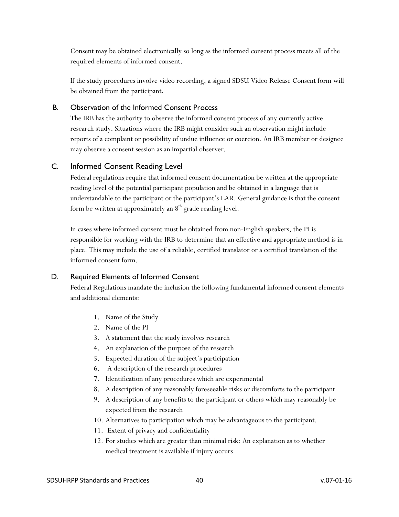Consent may be obtained electronically so long as the informed consent process meets all of the required elements of informed consent.

If the study procedures involve video recording, a signed SDSU Video Release Consent form will be obtained from the participant.

### <span id="page-39-0"></span>B. Observation of the Informed Consent Process

The IRB has the authority to observe the informed consent process of any currently active research study. Situations where the IRB might consider such an observation might include reports of a complaint or possibility of undue influence or coercion. An IRB member or designee may observe a consent session as an impartial observer.

### <span id="page-39-1"></span>C. Informed Consent Reading Level

Federal regulations require that informed consent documentation be written at the appropriate reading level of the potential participant population and be obtained in a language that is understandable to the participant or the participant's LAR. General guidance is that the consent form be written at approximately an  $8<sup>th</sup>$  grade reading level.

In cases where informed consent must be obtained from non-English speakers, the PI is responsible for working with the IRB to determine that an effective and appropriate method is in place. This may include the use of a reliable, certified translator or a certified translation of the informed consent form.

### <span id="page-39-2"></span>D. Required Elements of Informed Consent

Federal Regulations mandate the inclusion the following fundamental informed consent elements and additional elements:

- 1. Name of the Study
- 2. Name of the PI
- 3. A statement that the study involves research
- 4. An explanation of the purpose of the research
- 5. Expected duration of the subject's participation
- 6. A description of the research procedures
- 7. Identification of any procedures which are experimental
- 8. A description of any reasonably foreseeable risks or discomforts to the participant
- 9. A description of any benefits to the participant or others which may reasonably be expected from the research
- 10. Alternatives to participation which may be advantageous to the participant.
- 11. Extent of privacy and confidentiality
- 12. For studies which are greater than minimal risk: An explanation as to whether medical treatment is available if injury occurs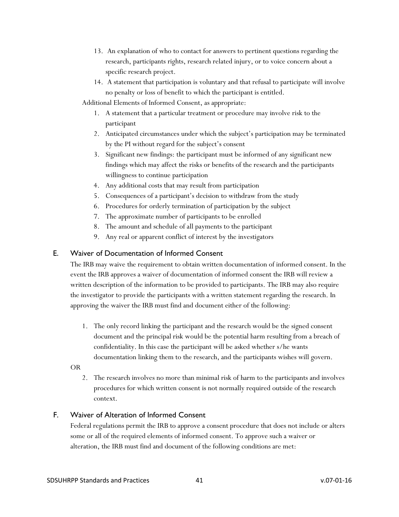- 13. An explanation of who to contact for answers to pertinent questions regarding the research, participants rights, research related injury, or to voice concern about a specific research project.
- 14. A statement that participation is voluntary and that refusal to participate will involve no penalty or loss of benefit to which the participant is entitled.
- Additional Elements of Informed Consent, as appropriate:
	- 1. A statement that a particular treatment or procedure may involve risk to the participant
	- 2. Anticipated circumstances under which the subject's participation may be terminated by the PI without regard for the subject's consent
	- 3. Significant new findings: the participant must be informed of any significant new findings which may affect the risks or benefits of the research and the participants willingness to continue participation
	- 4. Any additional costs that may result from participation
	- 5. Consequences of a participant's decision to withdraw from the study
	- 6. Procedures for orderly termination of participation by the subject
	- 7. The approximate number of participants to be enrolled
	- 8. The amount and schedule of all payments to the participant
	- 9. Any real or apparent conflict of interest by the investigators

### <span id="page-40-0"></span>E. Waiver of Documentation of Informed Consent

The IRB may waive the requirement to obtain written documentation of informed consent. In the event the IRB approves a waiver of documentation of informed consent the IRB will review a written description of the information to be provided to participants. The IRB may also require the investigator to provide the participants with a written statement regarding the research. In approving the waiver the IRB must find and document either of the following:

- 1. The only record linking the participant and the research would be the signed consent document and the principal risk would be the potential harm resulting from a breach of confidentiality. In this case the participant will be asked whether s/he wants documentation linking them to the research, and the participants wishes will govern.
- OR
	- 2. The research involves no more than minimal risk of harm to the participants and involves procedures for which written consent is not normally required outside of the research context.

### <span id="page-40-1"></span>F. Waiver of Alteration of Informed Consent

Federal regulations permit the IRB to approve a consent procedure that does not include or alters some or all of the required elements of informed consent. To approve such a waiver or alteration, the IRB must find and document of the following conditions are met: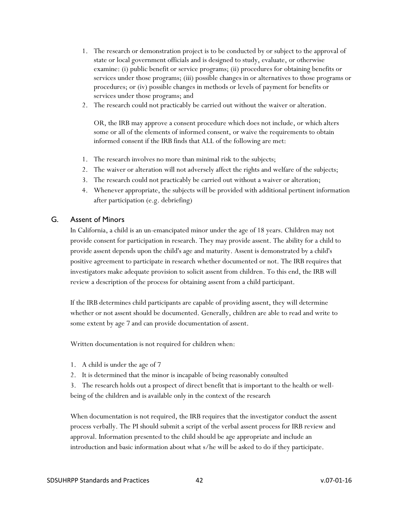- 1. The research or demonstration project is to be conducted by or subject to the approval of state or local government officials and is designed to study, evaluate, or otherwise examine: (i) public benefit or service programs; (ii) procedures for obtaining benefits or services under those programs; (iii) possible changes in or alternatives to those programs or procedures; or (iv) possible changes in methods or levels of payment for benefits or services under those programs; and
- 2. The research could not practicably be carried out without the waiver or alteration.

OR, the IRB may approve a consent procedure which does not include, or which alters some or all of the elements of informed consent, or waive the requirements to obtain informed consent if the IRB finds that ALL of the following are met:

- 1. The research involves no more than minimal risk to the subjects;
- 2. The waiver or alteration will not adversely affect the rights and welfare of the subjects;
- 3. The research could not practicably be carried out without a waiver or alteration;
- 4. Whenever appropriate, the subjects will be provided with additional pertinent information after participation (e.g. debriefing)

#### <span id="page-41-0"></span>G. Assent of Minors

In California, a child is an un-emancipated minor under the age of 18 years. Children may not provide consent for participation in research. They may provide assent. The ability for a child to provide assent depends upon the child's age and maturity. Assent is demonstrated by a child's positive agreement to participate in research whether documented or not. The IRB requires that investigators make adequate provision to solicit assent from children. To this end, the IRB will review a description of the process for obtaining assent from a child participant.

If the IRB determines child participants are capable of providing assent, they will determine whether or not assent should be documented. Generally, children are able to read and write to some extent by age 7 and can provide documentation of assent.

Written documentation is not required for children when:

- 1. A child is under the age of 7
- 2. It is determined that the minor is incapable of being reasonably consulted
- 3. The research holds out a prospect of direct benefit that is important to the health or wellbeing of the children and is available only in the context of the research

When documentation is not required, the IRB requires that the investigator conduct the assent process verbally. The PI should submit a script of the verbal assent process for IRB review and approval. Information presented to the child should be age appropriate and include an introduction and basic information about what s/he will be asked to do if they participate.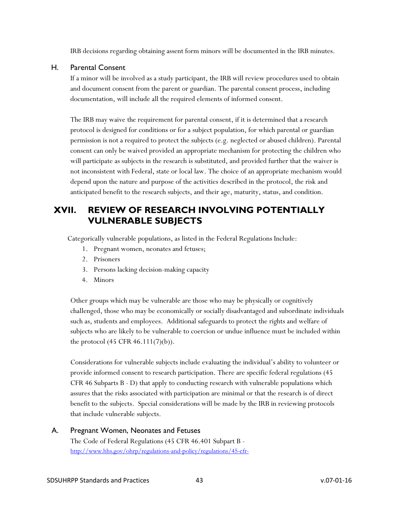IRB decisions regarding obtaining assent form minors will be documented in the IRB minutes.

#### <span id="page-42-0"></span>H. Parental Consent

If a minor will be involved as a study participant, the IRB will review procedures used to obtain and document consent from the parent or guardian. The parental consent process, including documentation, will include all the required elements of informed consent.

The IRB may waive the requirement for parental consent, if it is determined that a research protocol is designed for conditions or for a subject population, for which parental or guardian permission is not a required to protect the subjects (e.g. neglected or abused children). Parental consent can only be waived provided an appropriate mechanism for protecting the children who will participate as subjects in the research is substituted, and provided further that the waiver is not inconsistent with Federal, state or local law. The choice of an appropriate mechanism would depend upon the nature and purpose of the activities described in the protocol, the risk and anticipated benefit to the research subjects, and their age, maturity, status, and condition.

# <span id="page-42-1"></span>**XVII. REVIEW OF RESEARCH INVOLVING POTENTIALLY VULNERABLE SUBJECTS**

Categorically vulnerable populations, as listed in the Federal Regulations Include:

- 1. Pregnant women, neonates and fetuses;
- 2. Prisoners
- 3. Persons lacking decision-making capacity
- 4. Minors

Other groups which may be vulnerable are those who may be physically or cognitively challenged, those who may be economically or socially disadvantaged and subordinate individuals such as, students and employees. Additional safeguards to protect the rights and welfare of subjects who are likely to be vulnerable to coercion or undue influence must be included within the protocol (45 CFR 46.111(7)(b)).

Considerations for vulnerable subjects include evaluating the individual's ability to volunteer or provide informed consent to research participation. There are specific federal regulations (45 CFR 46 Subparts B - D) that apply to conducting research with vulnerable populations which assures that the risks associated with participation are minimal or that the research is of direct benefit to the subjects. Special considerations will be made by the IRB in reviewing protocols that include vulnerable subjects.

<span id="page-42-2"></span>A. Pregnant Women, Neonates and Fetuses The Code of Federal Regulations (45 CFR 46.401 Subpart B <http://www.hhs.gov/ohrp/regulations-and-policy/regulations/45-cfr->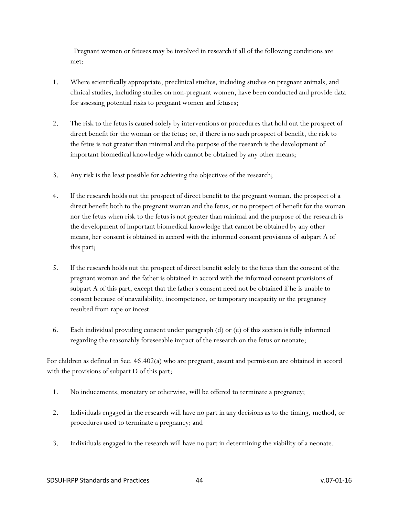Pregnant women or fetuses may be involved in research if all of the following conditions are met:

- 1. Where scientifically appropriate, preclinical studies, including studies on pregnant animals, and clinical studies, including studies on non-pregnant women, have been conducted and provide data for assessing potential risks to pregnant women and fetuses;
- 2. The risk to the fetus is caused solely by interventions or procedures that hold out the prospect of direct benefit for the woman or the fetus; or, if there is no such prospect of benefit, the risk to the fetus is not greater than minimal and the purpose of the research is the development of important biomedical knowledge which cannot be obtained by any other means;
- 3. Any risk is the least possible for achieving the objectives of the research;
- 4. If the research holds out the prospect of direct benefit to the pregnant woman, the prospect of a direct benefit both to the pregnant woman and the fetus, or no prospect of benefit for the woman nor the fetus when risk to the fetus is not greater than minimal and the purpose of the research is the development of important biomedical knowledge that cannot be obtained by any other means, her consent is obtained in accord with the informed consent provisions of subpart A of this part;
- 5. If the research holds out the prospect of direct benefit solely to the fetus then the consent of the pregnant woman and the father is obtained in accord with the informed consent provisions of subpart A of this part, except that the father's consent need not be obtained if he is unable to consent because of unavailability, incompetence, or temporary incapacity or the pregnancy resulted from rape or incest.
- 6. Each individual providing consent under paragraph (d) or (e) of this section is fully informed regarding the reasonably foreseeable impact of the research on the fetus or neonate;

For children as defined in Sec. 46.402(a) who are pregnant, assent and permission are obtained in accord with the provisions of subpart D of this part;

- 1. No inducements, monetary or otherwise, will be offered to terminate a pregnancy;
- 2. Individuals engaged in the research will have no part in any decisions as to the timing, method, or procedures used to terminate a pregnancy; and
- 3. Individuals engaged in the research will have no part in determining the viability of a neonate.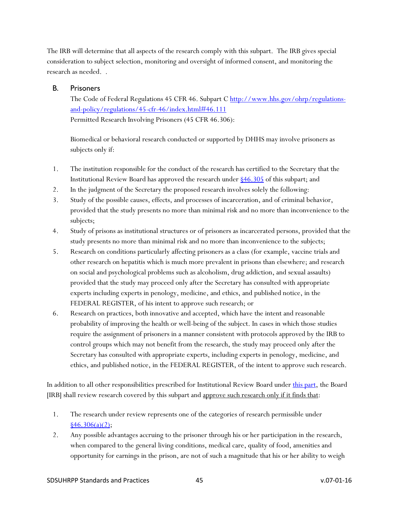The IRB will determine that all aspects of the research comply with this subpart. The IRB gives special consideration to subject selection, monitoring and oversight of informed consent, and monitoring the research as needed. .

#### <span id="page-44-0"></span>B. Prisoners

The Code of Federal Regulations 45 CFR 46. Subpart C [http://www.hhs.gov/ohrp/regulations](http://www.hhs.gov/ohrp/regulations-and-policy/regulations/45-cfr-46/index.html#46.111)[and-policy/regulations/45-cfr-46/index.html#46.111](http://www.hhs.gov/ohrp/regulations-and-policy/regulations/45-cfr-46/index.html#46.111) Permitted Research Involving Prisoners (45 CFR 46.306):

Biomedical or behavioral research conducted or supported by DHHS may involve prisoners as subjects only if:

- 1. The institution responsible for the conduct of the research has certified to the Secretary that the Institutional Review Board has approved the research under [§46.305](http://www.hhs.gov/ohrp/humansubjects/guidance/45cfr46.html#46.305) of this subpart; and
- 2. In the judgment of the Secretary the proposed research involves solely the following:
- 3. Study of the possible causes, effects, and processes of incarceration, and of criminal behavior, provided that the study presents no more than minimal risk and no more than inconvenience to the subjects;
- 4. Study of prisons as institutional structures or of prisoners as incarcerated persons, provided that the study presents no more than minimal risk and no more than inconvenience to the subjects;
- 5. Research on conditions particularly affecting prisoners as a class (for example, vaccine trials and other research on hepatitis which is much more prevalent in prisons than elsewhere; and research on social and psychological problems such as alcoholism, drug addiction, and sexual assaults) provided that the study may proceed only after the Secretary has consulted with appropriate experts including experts in penology, medicine, and ethics, and published notice, in the FEDERAL REGISTER, of his intent to approve such research; or
- 6. Research on practices, both innovative and accepted, which have the intent and reasonable probability of improving the health or well-being of the subject. In cases in which those studies require the assignment of prisoners in a manner consistent with protocols approved by the IRB to control groups which may not benefit from the research, the study may proceed only after the Secretary has consulted with appropriate experts, including experts in penology, medicine, and ethics, and published notice, in the FEDERAL REGISTER, of the intent to approve such research.

In addition to all other responsibilities prescribed for Institutional Review Board under [this part,](http://www.hhs.gov/ohrp/humansubjects/guidance/45cfr46.html#part46) the Board [IRB] shall review research covered by this subpart and approve such research only if it finds that:

- 1. The research under review represents one of the categories of research permissible under  $\frac{$46.306(a)(2)}{;}$
- 2. Any possible advantages accruing to the prisoner through his or her participation in the research, when compared to the general living conditions, medical care, quality of food, amenities and opportunity for earnings in the prison, are not of such a magnitude that his or her ability to weigh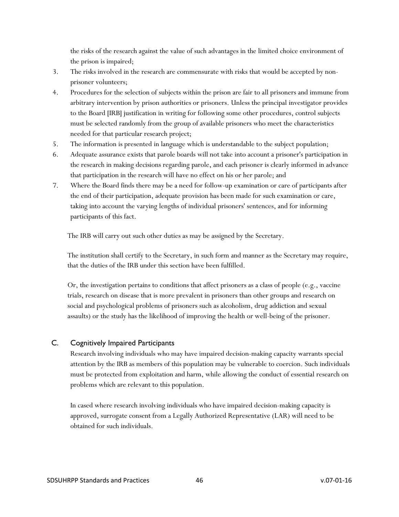the risks of the research against the value of such advantages in the limited choice environment of the prison is impaired;

- 3. The risks involved in the research are commensurate with risks that would be accepted by nonprisoner volunteers;
- 4. Procedures for the selection of subjects within the prison are fair to all prisoners and immune from arbitrary intervention by prison authorities or prisoners. Unless the principal investigator provides to the Board [IRB] justification in writing for following some other procedures, control subjects must be selected randomly from the group of available prisoners who meet the characteristics needed for that particular research project;
- 5. The information is presented in language which is understandable to the subject population;
- 6. Adequate assurance exists that parole boards will not take into account a prisoner's participation in the research in making decisions regarding parole, and each prisoner is clearly informed in advance that participation in the research will have no effect on his or her parole; and
- 7. Where the Board finds there may be a need for follow-up examination or care of participants after the end of their participation, adequate provision has been made for such examination or care, taking into account the varying lengths of individual prisoners' sentences, and for informing participants of this fact.

The IRB will carry out such other duties as may be assigned by the Secretary.

The institution shall certify to the Secretary, in such form and manner as the Secretary may require, that the duties of the IRB under this section have been fulfilled.

Or, the investigation pertains to conditions that affect prisoners as a class of people (e.g., vaccine trials, research on disease that is more prevalent in prisoners than other groups and research on social and psychological problems of prisoners such as alcoholism, drug addiction and sexual assaults) or the study has the likelihood of improving the health or well-being of the prisoner.

### <span id="page-45-0"></span>C. Cognitively Impaired Participants

Research involving individuals who may have impaired decision-making capacity warrants special attention by the IRB as members of this population may be vulnerable to coercion. Such individuals must be protected from exploitation and harm, while allowing the conduct of essential research on problems which are relevant to this population.

In cased where research involving individuals who have impaired decision-making capacity is approved, surrogate consent from a Legally Authorized Representative (LAR) will need to be obtained for such individuals.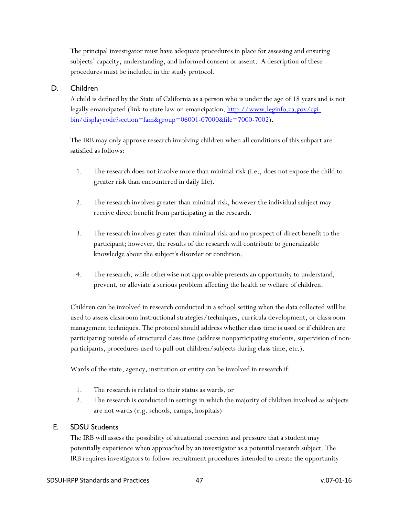The principal investigator must have adequate procedures in place for assessing and ensuring subjects' capacity, understanding, and informed consent or assent. A description of these procedures must be included in the study protocol.

### <span id="page-46-0"></span>D. Children

A child is defined by the State of California as a person who is under the age of 18 years and is not legally emancipated (link to state law on emancipation. [http://www.leginfo.ca.gov/cgi](http://www.leginfo.ca.gov/cgi-bin/displaycode?section=fam&group=06001-07000&file=7000-7002)[bin/displaycode?section=fam&group=06001-07000&file=7000-7002\)](http://www.leginfo.ca.gov/cgi-bin/displaycode?section=fam&group=06001-07000&file=7000-7002).

The IRB may only approve research involving children when all conditions of this subpart are satisfied as follows:

- 1. The research does not involve more than minimal risk (i.e., does not expose the child to greater risk than encountered in daily life).
- 2. The research involves greater than minimal risk, however the individual subject may receive direct benefit from participating in the research.
- 3. The research involves greater than minimal risk and no prospect of direct benefit to the participant; however, the results of the research will contribute to generalizable knowledge about the subject's disorder or condition.
- 4. The research, while otherwise not approvable presents an opportunity to understand, prevent, or alleviate a serious problem affecting the health or welfare of children.

Children can be involved in research conducted in a school setting when the data collected will be used to assess classroom instructional strategies/techniques, curricula development, or classroom management techniques. The protocol should address whether class time is used or if children are participating outside of structured class time (address nonparticipating students, supervision of nonparticipants, procedures used to pull out children/subjects during class time, etc.).

Wards of the state, agency, institution or entity can be involved in research if:

- 1. The research is related to their status as wards, or
- 2. The research is conducted in settings in which the majority of children involved as subjects are not wards (e.g. schools, camps, hospitals)

### <span id="page-46-1"></span>E. SDSU Students

The IRB will assess the possibility of situational coercion and pressure that a student may potentially experience when approached by an investigator as a potential research subject. The IRB requires investigators to follow recruitment procedures intended to create the opportunity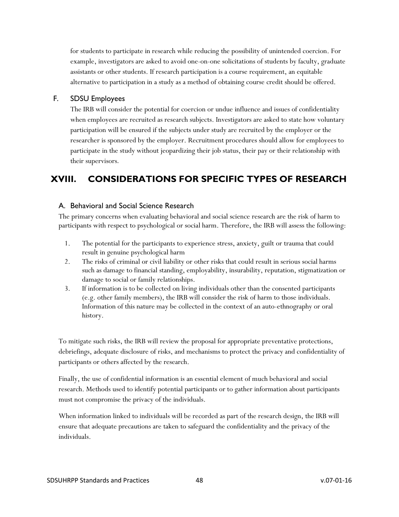for students to participate in research while reducing the possibility of unintended coercion. For example, investigators are asked to avoid one-on-one solicitations of students by faculty, graduate assistants or other students. If research participation is a course requirement, an equitable alternative to participation in a study as a method of obtaining course credit should be offered.

### <span id="page-47-0"></span>F. SDSU Employees

The IRB will consider the potential for coercion or undue influence and issues of confidentiality when employees are recruited as research subjects. Investigators are asked to state how voluntary participation will be ensured if the subjects under study are recruited by the employer or the researcher is sponsored by the employer. Recruitment procedures should allow for employees to participate in the study without jeopardizing their job status, their pay or their relationship with their supervisors.

# <span id="page-47-1"></span>**XVIII. CONSIDERATIONS FOR SPECIFIC TYPES OF RESEARCH**

### <span id="page-47-2"></span>A. Behavioral and Social Science Research

The primary concerns when evaluating behavioral and social science research are the risk of harm to participants with respect to psychological or social harm. Therefore, the IRB will assess the following:

- 1. The potential for the participants to experience stress, anxiety, guilt or trauma that could result in genuine psychological harm
- 2. The risks of criminal or civil liability or other risks that could result in serious social harms such as damage to financial standing, employability, insurability, reputation, stigmatization or damage to social or family relationships.
- 3. If information is to be collected on living individuals other than the consented participants (e.g. other family members), the IRB will consider the risk of harm to those individuals. Information of this nature may be collected in the context of an auto-ethnography or oral history.

To mitigate such risks, the IRB will review the proposal for appropriate preventative protections, debriefings, adequate disclosure of risks, and mechanisms to protect the privacy and confidentiality of participants or others affected by the research.

Finally, the use of confidential information is an essential element of much behavioral and social research. Methods used to identify potential participants or to gather information about participants must not compromise the privacy of the individuals.

When information linked to individuals will be recorded as part of the research design, the IRB will ensure that adequate precautions are taken to safeguard the confidentiality and the privacy of the individuals.